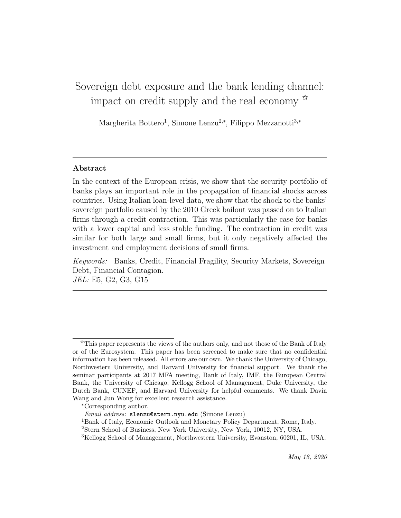# Sovereign debt exposure and the bank lending channel: impact on credit supply and the real economy  $\mathbb{R}^2$

Margherita Bottero<sup>1</sup>, Simone Lenzu<sup>2,∗</sup>, Filippo Mezzanotti<sup>3,</sup>\*

## Abstract

In the context of the European crisis, we show that the security portfolio of banks plays an important role in the propagation of financial shocks across countries. Using Italian loan-level data, we show that the shock to the banks' sovereign portfolio caused by the 2010 Greek bailout was passed on to Italian firms through a credit contraction. This was particularly the case for banks with a lower capital and less stable funding. The contraction in credit was similar for both large and small firms, but it only negatively affected the investment and employment decisions of small firms.

Keywords: Banks, Credit, Financial Fragility, Security Markets, Sovereign Debt, Financial Contagion. JEL: E5, G2, G3, G15

 $\hat{X}$ This paper represents the views of the authors only, and not those of the Bank of Italy or of the Eurosystem. This paper has been screened to make sure that no confidential information has been released. All errors are our own. We thank the University of Chicago, Northwestern University, and Harvard University for financial support. We thank the seminar participants at 2017 MFA meeting, Bank of Italy, IMF, the European Central Bank, the University of Chicago, Kellogg School of Management, Duke University, the Dutch Bank, CUNEF, and Harvard University for helpful comments. We thank Davin Wang and Jun Wong for excellent research assistance.

<sup>∗</sup>Corresponding author.

Email address: slenzu@stern.nyu.edu (Simone Lenzu)

<sup>1</sup>Bank of Italy, Economic Outlook and Monetary Policy Department, Rome, Italy.

<sup>2</sup>Stern School of Business, New York University, New York, 10012, NY, USA.

<sup>3</sup>Kellogg School of Management, Northwestern University, Evanston, 60201, IL, USA.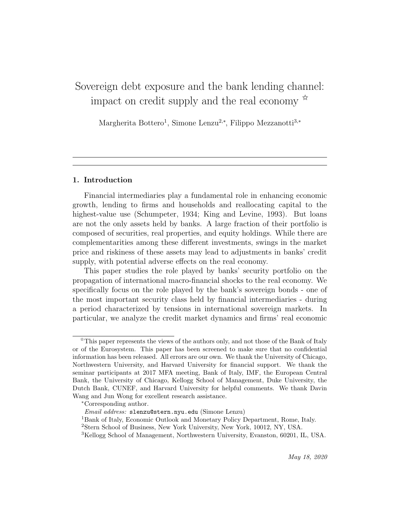# Sovereign debt exposure and the bank lending channel: impact on credit supply and the real economy  $\mathbb{R}^2$

Margherita Bottero<sup>1</sup>, Simone Lenzu<sup>2,∗</sup>, Filippo Mezzanotti<sup>3,</sup>\*

# 1. Introduction

Financial intermediaries play a fundamental role in enhancing economic growth, lending to firms and households and reallocating capital to the highest-value use (Schumpeter, 1934; King and Levine, 1993). But loans are not the only assets held by banks. A large fraction of their portfolio is composed of securities, real properties, and equity holdings. While there are complementarities among these different investments, swings in the market price and riskiness of these assets may lead to adjustments in banks' credit supply, with potential adverse effects on the real economy.

This paper studies the role played by banks' security portfolio on the propagation of international macro-financial shocks to the real economy. We specifically focus on the role played by the bank's sovereign bonds - one of the most important security class held by financial intermediaries - during a period characterized by tensions in international sovereign markets. In particular, we analyze the credit market dynamics and firms' real economic

<sup>✩</sup>This paper represents the views of the authors only, and not those of the Bank of Italy or of the Eurosystem. This paper has been screened to make sure that no confidential information has been released. All errors are our own. We thank the University of Chicago, Northwestern University, and Harvard University for financial support. We thank the seminar participants at 2017 MFA meeting, Bank of Italy, IMF, the European Central Bank, the University of Chicago, Kellogg School of Management, Duke University, the Dutch Bank, CUNEF, and Harvard University for helpful comments. We thank Davin Wang and Jun Wong for excellent research assistance.

<sup>∗</sup>Corresponding author.

Email address: slenzu@stern.nyu.edu (Simone Lenzu)

<sup>1</sup>Bank of Italy, Economic Outlook and Monetary Policy Department, Rome, Italy.

<sup>2</sup>Stern School of Business, New York University, New York, 10012, NY, USA.

<sup>3</sup>Kellogg School of Management, Northwestern University, Evanston, 60201, IL, USA.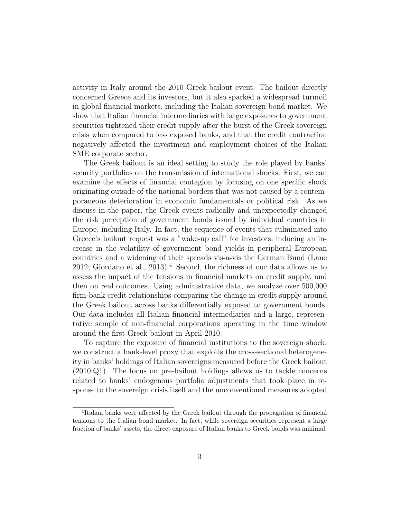activity in Italy around the 2010 Greek bailout event. The bailout directly concerned Greece and its investors, but it also sparked a widespread turmoil in global financial markets, including the Italian sovereign bond market. We show that Italian financial intermediaries with large exposures to government securities tightened their credit supply after the burst of the Greek sovereign crisis when compared to less exposed banks, and that the credit contraction negatively affected the investment and employment choices of the Italian SME corporate sector.

The Greek bailout is an ideal setting to study the role played by banks' security portfolios on the transmission of international shocks. First, we can examine the effects of financial contagion by focusing on one specific shock originating outside of the national borders that was not caused by a contemporaneous deterioration in economic fundamentals or political risk. As we discuss in the paper, the Greek events radically and unexpectedly changed the risk perception of government bonds issued by individual countries in Europe, including Italy. In fact, the sequence of events that culminated into Greece's bailout request was a "wake-up call" for investors, inducing an increase in the volatility of government bond yields in peripheral European countries and a widening of their spreads vis-a-vis the German Bund (Lane 2012; Giordano et al., 2013).<sup>4</sup> Second, the richness of our data allows us to assess the impact of the tensions in financial markets on credit supply, and then on real outcomes. Using administrative data, we analyze over 500,000 firm-bank credit relationships comparing the change in credit supply around the Greek bailout across banks differentially exposed to government bonds. Our data includes all Italian financial intermediaries and a large, representative sample of non-financial corporations operating in the time window around the first Greek bailout in April 2010.

To capture the exposure of financial institutions to the sovereign shock, we construct a bank-level proxy that exploits the cross-sectional heterogeneity in banks' holdings of Italian sovereigns measured before the Greek bailout (2010:Q1). The focus on pre-bailout holdings allows us to tackle concerns related to banks' endogenous portfolio adjustments that took place in response to the sovereign crisis itself and the unconventional measures adopted

<sup>4</sup> Italian banks were affected by the Greek bailout through the propagation of financial tensions to the Italian bond market. In fact, while sovereign securities represent a large fraction of banks' assets, the direct exposure of Italian banks to Greek bonds was minimal.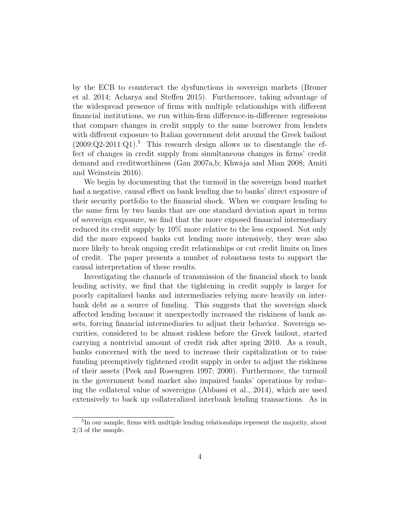by the ECB to counteract the dysfunctions in sovereign markets (Broner et al. 2014; Acharya and Steffen 2015). Furthermore, taking advantage of the widespread presence of firms with multiple relationships with different financial institutions, we run within-firm difference-in-difference regressions that compare changes in credit supply to the same borrower from lenders with different exposure to Italian government debt around the Greek bailout  $(2009:Q2-2011:Q1).$ <sup>5</sup> This research design allows us to disentangle the effect of changes in credit supply from simultaneous changes in firms' credit demand and creditworthiness (Gan 2007a,b; Khwaja and Mian 2008; Amiti and Weinstein 2016).

We begin by documenting that the turmoil in the sovereign bond market had a negative, causal effect on bank lending due to banks' direct exposure of their security portfolio to the financial shock. When we compare lending to the same firm by two banks that are one standard deviation apart in terms of sovereign exposure, we find that the more exposed financial intermediary reduced its credit supply by 10% more relative to the less exposed. Not only did the more exposed banks cut lending more intensively, they were also more likely to break ongoing credit relationships or cut credit limits on lines of credit. The paper presents a number of robustness tests to support the causal interpretation of these results.

Investigating the channels of transmission of the financial shock to bank lending activity, we find that the tightening in credit supply is larger for poorly capitalized banks and intermediaries relying more heavily on interbank debt as a source of funding. This suggests that the sovereign shock affected lending because it unexpectedly increased the riskiness of bank assets, forcing financial intermediaries to adjust their behavior. Sovereign securities, considered to be almost riskless before the Greek bailout, started carrying a nontrivial amount of credit risk after spring 2010. As a result, banks concerned with the need to increase their capitalization or to raise funding preemptively tightened credit supply in order to adjust the riskiness of their assets (Peek and Rosengren 1997; 2000). Furthermore, the turmoil in the government bond market also impaired banks' operations by reducing the collateral value of sovereigns (Abbassi et al., 2014), which are used extensively to back up collateralized interbank lending transactions. As in

<sup>&</sup>lt;sup>5</sup>In our sample, firms with multiple lending relationships represent the majority, about 2/3 of the sample.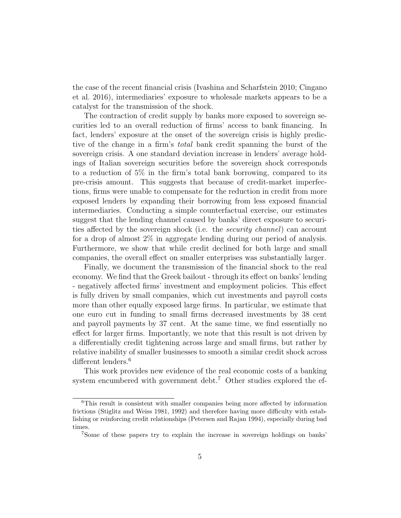the case of the recent financial crisis (Ivashina and Scharfstein 2010; Cingano et al. 2016), intermediaries' exposure to wholesale markets appears to be a catalyst for the transmission of the shock.

The contraction of credit supply by banks more exposed to sovereign securities led to an overall reduction of firms' access to bank financing. In fact, lenders' exposure at the onset of the sovereign crisis is highly predictive of the change in a firm's total bank credit spanning the burst of the sovereign crisis. A one standard deviation increase in lenders' average holdings of Italian sovereign securities before the sovereign shock corresponds to a reduction of 5% in the firm's total bank borrowing, compared to its pre-crisis amount. This suggests that because of credit-market imperfections, firms were unable to compensate for the reduction in credit from more exposed lenders by expanding their borrowing from less exposed financial intermediaries. Conducting a simple counterfactual exercise, our estimates suggest that the lending channel caused by banks' direct exposure to securities affected by the sovereign shock (i.e. the security channel) can account for a drop of almost 2% in aggregate lending during our period of analysis. Furthermore, we show that while credit declined for both large and small companies, the overall effect on smaller enterprises was substantially larger.

Finally, we document the transmission of the financial shock to the real economy. We find that the Greek bailout - through its effect on banks' lending - negatively affected firms' investment and employment policies. This effect is fully driven by small companies, which cut investments and payroll costs more than other equally exposed large firms. In particular, we estimate that one euro cut in funding to small firms decreased investments by 38 cent and payroll payments by 37 cent. At the same time, we find essentially no effect for larger firms. Importantly, we note that this result is not driven by a differentially credit tightening across large and small firms, but rather by relative inability of smaller businesses to smooth a similar credit shock across different lenders.<sup>6</sup>

This work provides new evidence of the real economic costs of a banking system encumbered with government debt.<sup>7</sup> Other studies explored the ef-

<sup>6</sup>This result is consistent with smaller companies being more affected by information frictions (Stiglitz and Weiss 1981, 1992) and therefore having more difficulty with establishing or reinforcing credit relationships (Petersen and Rajan 1994), especially during bad times.

<sup>7</sup>Some of these papers try to explain the increase in sovereign holdings on banks'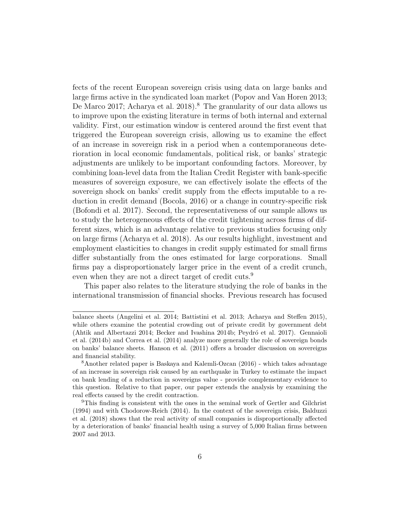fects of the recent European sovereign crisis using data on large banks and large firms active in the syndicated loan market (Popov and Van Horen 2013; De Marco 2017; Acharya et al. 2018).<sup>8</sup> The granularity of our data allows us to improve upon the existing literature in terms of both internal and external validity. First, our estimation window is centered around the first event that triggered the European sovereign crisis, allowing us to examine the effect of an increase in sovereign risk in a period when a contemporaneous deterioration in local economic fundamentals, political risk, or banks' strategic adjustments are unlikely to be important confounding factors. Moreover, by combining loan-level data from the Italian Credit Register with bank-specific measures of sovereign exposure, we can effectively isolate the effects of the sovereign shock on banks' credit supply from the effects imputable to a reduction in credit demand (Bocola, 2016) or a change in country-specific risk (Bofondi et al. 2017). Second, the representativeness of our sample allows us to study the heterogeneous effects of the credit tightening across firms of different sizes, which is an advantage relative to previous studies focusing only on large firms (Acharya et al. 2018). As our results highlight, investment and employment elasticities to changes in credit supply estimated for small firms differ substantially from the ones estimated for large corporations. Small firms pay a disproportionately larger price in the event of a credit crunch, even when they are not a direct target of credit cuts.<sup>9</sup>

This paper also relates to the literature studying the role of banks in the international transmission of financial shocks. Previous research has focused

balance sheets (Angelini et al. 2014; Battistini et al. 2013; Acharya and Steffen 2015), while others examine the potential crowding out of private credit by government debt (Ahtik and Albertazzi 2014; Becker and Ivashina 2014b; Peydró et al. 2017). Gennaioli et al. (2014b) and Correa et al. (2014) analyze more generally the role of sovereign bonds on banks' balance sheets. Hanson et al. (2011) offers a broader discussion on sovereigns and financial stability.

<sup>8</sup>Another related paper is Baskaya and Kalemli-Ozcan (2016) - which takes advantage of an increase in sovereign risk caused by an earthquake in Turkey to estimate the impact on bank lending of a reduction in sovereigns value - provide complementary evidence to this question. Relative to that paper, our paper extends the analysis by examining the real effects caused by the credit contraction.

<sup>&</sup>lt;sup>9</sup>This finding is consistent with the ones in the seminal work of Gertler and Gilchrist (1994) and with Chodorow-Reich (2014). In the context of the sovereign crisis, Balduzzi et al. (2018) shows that the real activity of small companies is disproportionally affected by a deterioration of banks' financial health using a survey of 5,000 Italian firms between 2007 and 2013.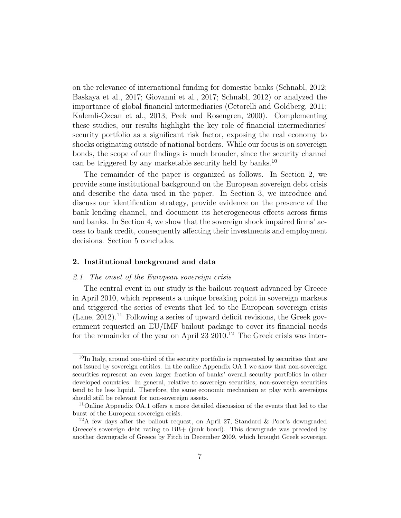on the relevance of international funding for domestic banks (Schnabl, 2012; Baskaya et al., 2017; Giovanni et al., 2017; Schnabl, 2012) or analyzed the importance of global financial intermediaries (Cetorelli and Goldberg, 2011; Kalemli-Ozcan et al., 2013; Peek and Rosengren, 2000). Complementing these studies, our results highlight the key role of financial intermediaries' security portfolio as a significant risk factor, exposing the real economy to shocks originating outside of national borders. While our focus is on sovereign bonds, the scope of our findings is much broader, since the security channel can be triggered by any marketable security held by banks.<sup>10</sup>

The remainder of the paper is organized as follows. In Section 2, we provide some institutional background on the European sovereign debt crisis and describe the data used in the paper. In Section 3, we introduce and discuss our identification strategy, provide evidence on the presence of the bank lending channel, and document its heterogeneous effects across firms and banks. In Section 4, we show that the sovereign shock impaired firms' access to bank credit, consequently affecting their investments and employment decisions. Section 5 concludes.

### 2. Institutional background and data

#### 2.1. The onset of the European sovereign crisis

The central event in our study is the bailout request advanced by Greece in April 2010, which represents a unique breaking point in sovereign markets and triggered the series of events that led to the European sovereign crisis  $(Lane, 2012).$ <sup>11</sup> Following a series of upward deficit revisions, the Greek government requested an EU/IMF bailout package to cover its financial needs for the remainder of the year on April  $23\ 2010$ .<sup>12</sup> The Greek crisis was inter-

 $10$ In Italy, around one-third of the security portfolio is represented by securities that are not issued by sovereign entities. In the online Appendix OA.1 we show that non-sovereign securities represent an even larger fraction of banks' overall security portfolios in other developed countries. In general, relative to sovereign securities, non-sovereign securities tend to be less liquid. Therefore, the same economic mechanism at play with sovereigns should still be relevant for non-sovereign assets.

<sup>&</sup>lt;sup>11</sup>Online Appendix OA.1 offers a more detailed discussion of the events that led to the burst of the European sovereign crisis.

 $12A$  few days after the bailout request, on April 27, Standard & Poor's downgraded Greece's sovereign debt rating to BB+ (junk bond). This downgrade was preceded by another downgrade of Greece by Fitch in December 2009, which brought Greek sovereign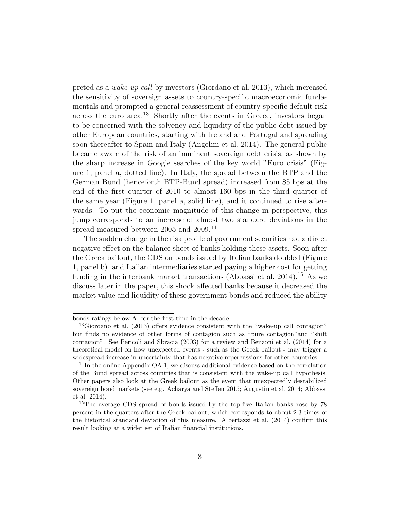preted as a wake-up call by investors (Giordano et al. 2013), which increased the sensitivity of sovereign assets to country-specific macroeconomic fundamentals and prompted a general reassessment of country-specific default risk across the euro area.<sup>13</sup> Shortly after the events in Greece, investors began to be concerned with the solvency and liquidity of the public debt issued by other European countries, starting with Ireland and Portugal and spreading soon thereafter to Spain and Italy (Angelini et al. 2014). The general public became aware of the risk of an imminent sovereign debt crisis, as shown by the sharp increase in Google searches of the key world "Euro crisis" (Figure 1, panel a, dotted line). In Italy, the spread between the BTP and the German Bund (henceforth BTP-Bund spread) increased from 85 bps at the end of the first quarter of 2010 to almost 160 bps in the third quarter of the same year (Figure 1, panel a, solid line), and it continued to rise afterwards. To put the economic magnitude of this change in perspective, this jump corresponds to an increase of almost two standard deviations in the spread measured between 2005 and 2009.<sup>14</sup>

The sudden change in the risk profile of government securities had a direct negative effect on the balance sheet of banks holding these assets. Soon after the Greek bailout, the CDS on bonds issued by Italian banks doubled (Figure 1, panel b), and Italian intermediaries started paying a higher cost for getting funding in the interbank market transactions (Abbassi et al. 2014).<sup>15</sup> As we discuss later in the paper, this shock affected banks because it decreased the market value and liquidity of these government bonds and reduced the ability

bonds ratings below A- for the first time in the decade.

<sup>13</sup>Giordano et al. (2013) offers evidence consistent with the "wake-up call contagion" but finds no evidence of other forms of contagion such as "pure contagion"and "shift contagion". See Pericoli and Sbracia (2003) for a review and Benzoni et al. (2014) for a theoretical model on how unexpected events - such as the Greek bailout - may trigger a widespread increase in uncertainty that has negative repercussions for other countries.

<sup>14</sup>In the online Appendix OA.1, we discuss additional evidence based on the correlation of the Bund spread across countries that is consistent with the wake-up call hypothesis. Other papers also look at the Greek bailout as the event that unexpectedly destabilized sovereign bond markets (see e.g. Acharya and Steffen 2015; Augustin et al. 2014; Abbassi et al. 2014).

<sup>&</sup>lt;sup>15</sup>The average CDS spread of bonds issued by the top-five Italian banks rose by 78 percent in the quarters after the Greek bailout, which corresponds to about 2.3 times of the historical standard deviation of this measure. Albertazzi et al. (2014) confirm this result looking at a wider set of Italian financial institutions.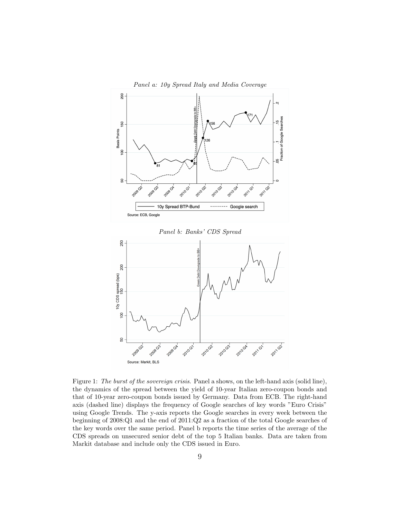

Figure 1: The burst of the sovereign crisis. Panel a shows, on the left-hand axis (solid line), the dynamics of the spread between the yield of 10-year Italian zero-coupon bonds and that of 10-year zero-coupon bonds issued by Germany. Data from ECB. The right-hand axis (dashed line) displays the frequency of Google searches of key words "Euro Crisis" using Google Trends. The y-axis reports the Google searches in every week between the beginning of 2008:Q1 and the end of 2011:Q2 as a fraction of the total Google searches of the key words over the same period. Panel b reports the time series of the average of the CDS spreads on unsecured senior debt of the top 5 Italian banks. Data are taken from Markit database and include only the CDS issued in Euro.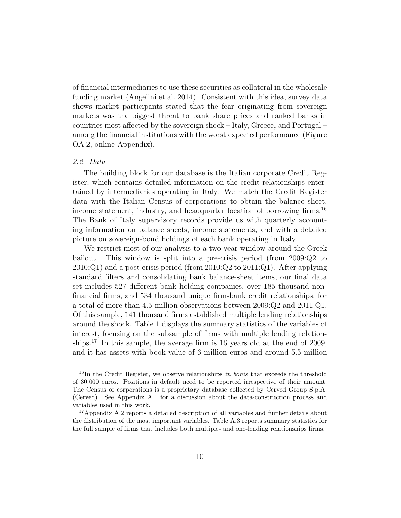of financial intermediaries to use these securities as collateral in the wholesale funding market (Angelini et al. 2014). Consistent with this idea, survey data shows market participants stated that the fear originating from sovereign markets was the biggest threat to bank share prices and ranked banks in countries most affected by the sovereign shock – Italy, Greece, and Portugal – among the financial institutions with the worst expected performance (Figure OA.2, online Appendix).

# 2.2. Data

The building block for our database is the Italian corporate Credit Register, which contains detailed information on the credit relationships entertained by intermediaries operating in Italy. We match the Credit Register data with the Italian Census of corporations to obtain the balance sheet, income statement, industry, and headquarter location of borrowing firms.<sup>16</sup> The Bank of Italy supervisory records provide us with quarterly accounting information on balance sheets, income statements, and with a detailed picture on sovereign-bond holdings of each bank operating in Italy.

We restrict most of our analysis to a two-year window around the Greek bailout. This window is split into a pre-crisis period (from 2009:Q2 to  $2010:Q1$ ) and a post-crisis period (from  $2010:Q2$  to  $2011:Q1$ ). After applying standard filters and consolidating bank balance-sheet items, our final data set includes 527 different bank holding companies, over 185 thousand nonfinancial firms, and 534 thousand unique firm-bank credit relationships, for a total of more than 4.5 million observations between 2009:Q2 and 2011:Q1. Of this sample, 141 thousand firms established multiple lending relationships around the shock. Table 1 displays the summary statistics of the variables of interest, focusing on the subsample of firms with multiple lending relationships.<sup>17</sup> In this sample, the average firm is 16 years old at the end of 2009, and it has assets with book value of 6 million euros and around 5.5 million

 $16$ In the Credit Register, we observe relationships in bonis that exceeds the threshold of 30,000 euros. Positions in default need to be reported irrespective of their amount. The Census of corporations is a proprietary database collected by Cerved Group S.p.A. (Cerved). See Appendix A.1 for a discussion about the data-construction process and variables used in this work.

<sup>&</sup>lt;sup>17</sup>Appendix A.2 reports a detailed description of all variables and further details about the distribution of the most important variables. Table A.3 reports summary statistics for the full sample of firms that includes both multiple- and one-lending relationships firms.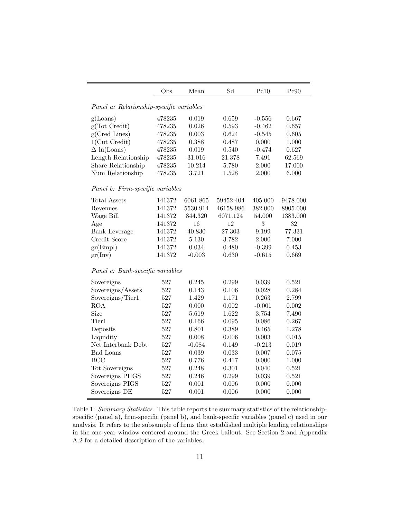|                                          | Obs        | Mean           | Sd             | Pc10           | Pc90           |
|------------------------------------------|------------|----------------|----------------|----------------|----------------|
|                                          |            |                |                |                |                |
| Panel a: Relationship-specific variables |            |                |                |                |                |
| g(Loans)                                 | 478235     | 0.019          | 0.659          | $-0.556$       | 0.667          |
| g(Tot Credit)                            | 478235     | 0.026          | 0.593          | $-0.462$       | 0.657          |
| g(Cred Lines)                            | 478235     | 0.003          | 0.624          | $-0.545$       | 0.605          |
| $1$ (Cut Credit)                         | 478235     | 0.388          | 0.487          | 0.000          | 1.000          |
| $\Delta$ ln(Loans)                       | 478235     | 0.019          | 0.540          | $-0.474$       | 0.627          |
| Length Relationship                      | 478235     | 31.016         | 21.378         | 7.491          | 62.569         |
| Share Relationship                       | 478235     | 10.214         | 5.780          | 2.000          | 17.000         |
| Num Relationship                         | 478235     | 3.721          | 1.528          | 2.000          | 6.000          |
| Panel b: Firm-specific variables         |            |                |                |                |                |
| <b>Total Assets</b>                      | 141372     | 6061.865       | 59452.404      | 405.000        | 9478.000       |
| Revenues                                 | 141372     | 5530.914       | 46158.986      | 382.000        | 8905.000       |
| Wage Bill                                | 141372     | 844.320        | 6071.124       | 54.000         | 1383.000       |
| Age                                      | 141372     | 16             | 12             | 3              | 32             |
| <b>Bank Leverage</b>                     | 141372     | 40.830         | 27.303         | 9.199          | 77.331         |
| Credit Score                             | 141372     | 5.130          | 3.782          | 2.000          | 7.000          |
| gr(Empl)                                 | 141372     | 0.034          | 0.480          | $-0.399$       | 0.453          |
| gr(Inv)                                  | 141372     | $-0.003$       | 0.630          | $-0.615$       | 0.669          |
| Panel c: Bank-specific variables         |            |                |                |                |                |
|                                          |            |                |                |                |                |
| Sovereigns                               | 527        | 0.245          | 0.299          | 0.039          | 0.521          |
| Sovereigns/Assets                        | 527<br>527 | 0.143<br>1.429 | 0.106<br>1.171 | 0.028<br>0.263 | 0.284<br>2.799 |
| Sovereigns/Tier1<br>ROA                  | 527        | 0.000          | 0.002          | $-0.001$       | 0.002          |
| Size                                     | 527        | 5.619          |                | 3.754          | 7.490          |
| Tier1                                    | 527        | 0.166          | 1.622<br>0.095 | 0.086          | 0.267          |
|                                          | 527        | 0.801          | 0.389          | 0.465          | 1.278          |
| Deposits                                 | 527        | 0.008          | 0.006          | 0.003          |                |
| Liquidity<br>Net Interbank Debt          | 527        |                |                |                | $\,0.015\,$    |
| <b>Bad Loans</b>                         | 527        | $-0.084$       | 0.149          | $-0.213$       | 0.019          |
| <b>BCC</b>                               | 527        | 0.039<br>0.776 | 0.033<br>0.417 | 0.007<br>0.000 | 0.075<br>1.000 |
|                                          |            |                |                |                |                |
| Tot Sovereigns                           | 527<br>527 | 0.248<br>0.246 | 0.301<br>0.299 | 0.040          | 0.521          |
| Sovereigns PIIGS                         |            |                |                | 0.039          | 0.521          |
| Sovereigns PIGS                          | 527        | 0.001          | 0.006          | 0.000          | 0.000          |
| Sovereigns DE                            | 527        | 0.001          | 0.006          | 0.000          | 0.000          |

Table 1: Summary Statistics. This table reports the summary statistics of the relationshipspecific (panel a), firm-specific (panel b), and bank-specific variables (panel c) used in our analysis. It refers to the subsample of firms that established multiple lending relationships in the one-year window centered around the Greek bailout. See Section 2 and Appendix A.2 for a detailed description of the variables.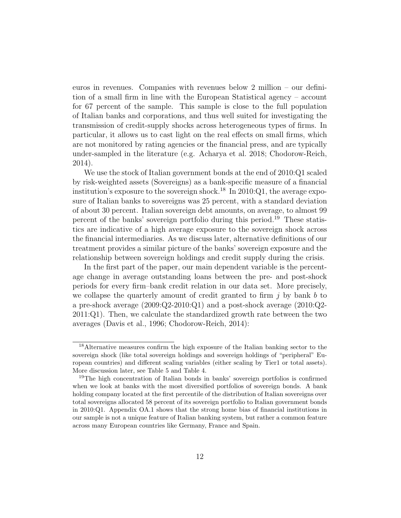euros in revenues. Companies with revenues below 2 million – our definition of a small firm in line with the European Statistical agency – account for 67 percent of the sample. This sample is close to the full population of Italian banks and corporations, and thus well suited for investigating the transmission of credit-supply shocks across heterogeneous types of firms. In particular, it allows us to cast light on the real effects on small firms, which are not monitored by rating agencies or the financial press, and are typically under-sampled in the literature (e.g. Acharya et al. 2018; Chodorow-Reich, 2014).

We use the stock of Italian government bonds at the end of 2010:Q1 scaled by risk-weighted assets (Sovereigns) as a bank-specific measure of a financial institution's exposure to the sovereign shock.<sup>18</sup> In 2010:Q1, the average exposure of Italian banks to sovereigns was 25 percent, with a standard deviation of about 30 percent. Italian sovereign debt amounts, on average, to almost 99 percent of the banks' sovereign portfolio during this period.<sup>19</sup> These statistics are indicative of a high average exposure to the sovereign shock across the financial intermediaries. As we discuss later, alternative definitions of our treatment provides a similar picture of the banks' sovereign exposure and the relationship between sovereign holdings and credit supply during the crisis.

In the first part of the paper, our main dependent variable is the percentage change in average outstanding loans between the pre- and post-shock periods for every firm–bank credit relation in our data set. More precisely, we collapse the quarterly amount of credit granted to firm  $j$  by bank b to a pre-shock average (2009:Q2-2010:Q1) and a post-shock average (2010:Q2- 2011:Q1). Then, we calculate the standardized growth rate between the two averages (Davis et al., 1996; Chodorow-Reich, 2014):

<sup>18</sup>Alternative measures confirm the high exposure of the Italian banking sector to the sovereign shock (like total sovereign holdings and sovereign holdings of "peripheral" European countries) and different scaling variables (either scaling by Tier1 or total assets). More discussion later, see Table 5 and Table 4.

<sup>19</sup>The high concentration of Italian bonds in banks' sovereign portfolios is confirmed when we look at banks with the most diversified portfolios of sovereign bonds. A bank holding company located at the first percentile of the distribution of Italian sovereigns over total sovereigns allocated 58 percent of its sovereign portfolio to Italian government bonds in 2010:Q1. Appendix OA.1 shows that the strong home bias of financial institutions in our sample is not a unique feature of Italian banking system, but rather a common feature across many European countries like Germany, France and Spain.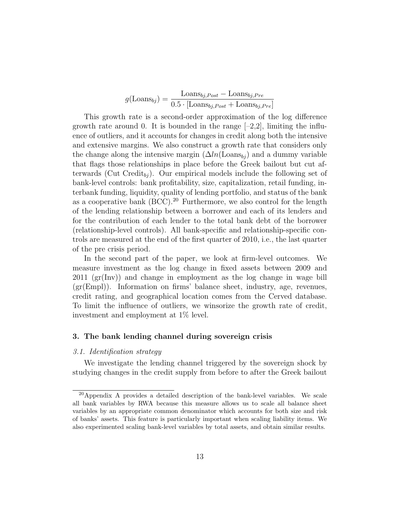$$
g(\text{Loans}_{bj}) = \frac{\text{Loans}_{bj, Post} - \text{Loans}_{bj, Pre}}{0.5 \cdot [\text{Loans}_{bj, Post} + \text{Loans}_{bj, Pre}]}
$$

This growth rate is a second-order approximation of the log difference growth rate around 0. It is bounded in the range  $[-2,2]$ , limiting the influence of outliers, and it accounts for changes in credit along both the intensive and extensive margins. We also construct a growth rate that considers only the change along the intensive margin  $(\Delta ln(\text{Loans}_{bj}))$  and a dummy variable that flags those relationships in place before the Greek bailout but cut afterwards (Cut Credit<sub>bj</sub>). Our empirical models include the following set of bank-level controls: bank profitability, size, capitalization, retail funding, interbank funding, liquidity, quality of lending portfolio, and status of the bank as a cooperative bank  $(BCC)$ .<sup>20</sup> Furthermore, we also control for the length of the lending relationship between a borrower and each of its lenders and for the contribution of each lender to the total bank debt of the borrower (relationship-level controls). All bank-specific and relationship-specific controls are measured at the end of the first quarter of 2010, i.e., the last quarter of the pre crisis period.

In the second part of the paper, we look at firm-level outcomes. We measure investment as the log change in fixed assets between 2009 and 2011 (gr(Inv)) and change in employment as the log change in wage bill (gr(Empl)). Information on firms' balance sheet, industry, age, revenues, credit rating, and geographical location comes from the Cerved database. To limit the influence of outliers, we winsorize the growth rate of credit, investment and employment at 1% level.

#### 3. The bank lending channel during sovereign crisis

### 3.1. Identification strategy

We investigate the lending channel triggered by the sovereign shock by studying changes in the credit supply from before to after the Greek bailout

<sup>20</sup>Appendix A provides a detailed description of the bank-level variables. We scale all bank variables by RWA because this measure allows us to scale all balance sheet variables by an appropriate common denominator which accounts for both size and risk of banks' assets. This feature is particularly important when scaling liability items. We also experimented scaling bank-level variables by total assets, and obtain similar results.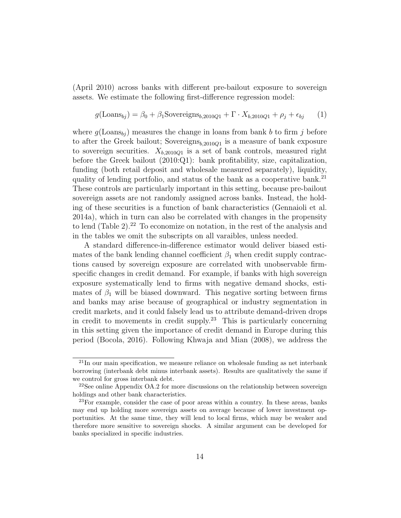(April 2010) across banks with different pre-bailout exposure to sovereign assets. We estimate the following first-difference regression model:

$$
g(\text{Loans}_{bj}) = \beta_0 + \beta_1 \text{Sovereigns}_{b,2010Q1} + \Gamma \cdot X_{b,2010Q1} + \rho_j + \epsilon_{bj} \tag{1}
$$

where  $g(\text{Loans}_{bi})$  measures the change in loans from bank b to firm j before to after the Greek bailout; Sovereigns $_{b,2010Q1}$  is a measure of bank exposure to sovereign securities.  $X_{b,2010Q1}$  is a set of bank controls, measured right before the Greek bailout (2010:Q1): bank profitability, size, capitalization, funding (both retail deposit and wholesale measured separately), liquidity, quality of lending portfolio, and status of the bank as a cooperative bank.<sup>21</sup> These controls are particularly important in this setting, because pre-bailout sovereign assets are not randomly assigned across banks. Instead, the holding of these securities is a function of bank characteristics (Gennaioli et al. 2014a), which in turn can also be correlated with changes in the propensity to lend (Table 2).<sup>22</sup> To economize on notation, in the rest of the analysis and in the tables we omit the subscripts on all varaibles, unless needed.

A standard difference-in-difference estimator would deliver biased estimates of the bank lending channel coefficient  $\beta_1$  when credit supply contractions caused by sovereign exposure are correlated with unobservable firmspecific changes in credit demand. For example, if banks with high sovereign exposure systematically lend to firms with negative demand shocks, estimates of  $\beta_1$  will be biased downward. This negative sorting between firms and banks may arise because of geographical or industry segmentation in credit markets, and it could falsely lead us to attribute demand-driven drops in credit to movements in credit supply.<sup>23</sup> This is particularly concerning in this setting given the importance of credit demand in Europe during this period (Bocola, 2016). Following Khwaja and Mian (2008), we address the

 $^{21}$ In our main specification, we measure reliance on wholesale funding as net interbank borrowing (interbank debt minus interbank assets). Results are qualitatively the same if we control for gross interbank debt.

<sup>22</sup>See online Appendix OA.2 for more discussions on the relationship between sovereign holdings and other bank characteristics.

<sup>23</sup>For example, consider the case of poor areas within a country. In these areas, banks may end up holding more sovereign assets on average because of lower investment opportunities. At the same time, they will lend to local firms, which may be weaker and therefore more sensitive to sovereign shocks. A similar argument can be developed for banks specialized in specific industries.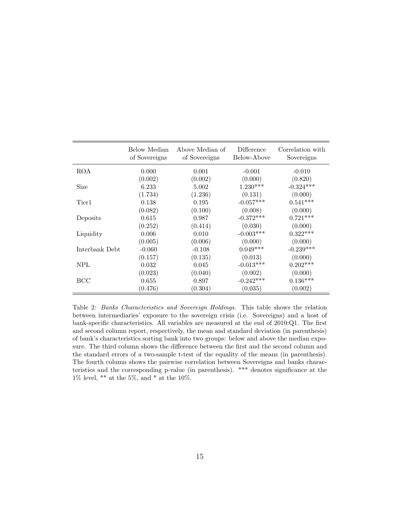|                | Below Median<br>of Sovereigns | Above Median of<br>of Sovereigns | Difference<br>Below-Above | Correlation with<br>Sovereigns |
|----------------|-------------------------------|----------------------------------|---------------------------|--------------------------------|
| <b>ROA</b>     | 0.000                         | 0.001                            | $-0.001$                  | $-0.010$                       |
|                | (0.002)                       | (0.002)                          | (0.000)                   | (0.820)                        |
| Size           | 6.233                         | 5.002                            | $1.230***$                | $-0.324***$                    |
|                | (1.734)                       | (1.236)                          | (0.131)                   | (0.000)                        |
| Tier1          | 0.138                         | 0.195                            | $-0.057***$               | $0.541***$                     |
|                | (0.082)                       | (0.100)                          | (0.008)                   | (0.000)                        |
| Deposits       | 0.615                         | 0.987                            | $-0.372***$               | $0.721***$                     |
|                | (0.252)                       | (0.414)                          | (0.030)                   | (0.000)                        |
| Liquidity      | 0.006                         | 0.010                            | $-0.003***$               | $0.322***$                     |
|                | (0.005)                       | (0.006)                          | (0.000)                   | (0.000)                        |
| Interbank Debt | $-0.060$                      | $-0.108$                         | $0.049***$                | $-0.239***$                    |
|                | (0.157)                       | (0.135)                          | (0.013)                   | (0.000)                        |
| <b>NPL</b>     | 0.032                         | 0.045                            | $-0.013***$               | $0.202***$                     |
|                | (0.023)                       | (0.040)                          | (0.002)                   | (0.000)                        |
| BCC            | 0.655                         | 0.897                            | $-0.242***$               | $0.136***$                     |
|                | (0.476)                       | (0.304)                          | (0.035)                   | (0.002)                        |

Table 2: Banks Characteristics and Sovereign Holdings. This table shows the relation between intermediaries' exposure to the sovereign crisis (i.e. Sovereigns) and a host of bank-specific characteristics. All variables are measured at the end of 2010:Q1. The first and second column report, respectively, the mean and standard deviation (in parenthesis) of bank's characteristics sorting bank into two groups: below and above the median exposure. The third column shows the difference between the first and the second column and the standard errors of a two-sample t-test of the equality of the means (in parenthesis). The fourth column shows the pairwise correlation between Sovereigns and banks characteristics and the corresponding p-value (in parenthesis). \*\*\* denotes significance at the 1% level,  $**$  at the 5%, and  $*$  at the 10%.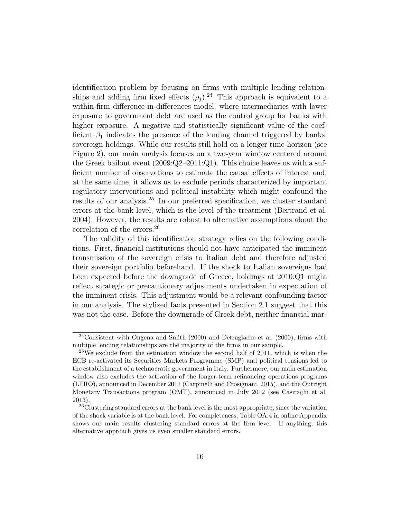identification problem by focusing on firms with multiple lending relationships and adding firm fixed effects  $(\rho_i)^{24}$ . This approach is equivalent to a within-firm difference-in-differences model, where intermediaries with lower exposure to government debt are used as the control group for banks with higher exposure. A negative and statistically significant value of the coefficient  $\beta_1$  indicates the presence of the lending channel triggered by banks' sovereign holdings. While our results still hold on a longer time-horizon (see Figure 2), our main analysis focuses on a two-year window centered around the Greek bailout event  $(2009:Q2-2011:Q1)$ . This choice leaves us with a sufficient number of observations to estimate the causal effects of interest and, at the same time, it allows us to exclude periods characterized by important regulatory interventions and political instability which might confound the results of our analysis.<sup>25</sup> In our preferred specification, we cluster standard errors at the bank level, which is the level of the treatment (Bertrand et al. 2004). However, the results are robust to alternative assumptions about the correlation of the errors.<sup>26</sup>

The validity of this identification strategy relies on the following conditions. First, financial institutions should not have anticipated the imminent transmission of the sovereign crisis to Italian debt and therefore adjusted their sovereign portfolio beforehand. If the shock to Italian sovereigns had been expected before the downgrade of Greece, holdings at 2010:Q1 might reflect strategic or precautionary adjustments undertaken in expectation of the imminent crisis. This adjustment would be a relevant confounding factor in our analysis. The stylized facts presented in Section 2.1 suggest that this was not the case. Before the downgrade of Greek debt, neither financial mar-

<sup>24</sup>Consistent with Ongena and Smith (2000) and Detragiache et al. (2000), firms with multiple lending relationships are the majority of the firms in our sample.

 $^{25}$ We exclude from the estimation window the second half of 2011, which is when the ECB re-activated its Securities Markets Programme (SMP) and political tensions led to the establishment of a technocratic government in Italy. Furthermore, our main estimation window also excludes the activation of the longer-term refinancing operations programs (LTRO), announced in December 2011 (Carpinelli and Crosignani, 2015), and the Outright Monetary Transactions program (OMT), announced in July 2012 (see Casiraghi et al. 2013).

<sup>&</sup>lt;sup>26</sup>Clustering standard errors at the bank level is the most appropriate, since the variation of the shock variable is at the bank level. For completeness, Table OA.4 in online Appendix shows our main results clustering standard errors at the firm level. If anything, this alternative approach gives us even smaller standard errors.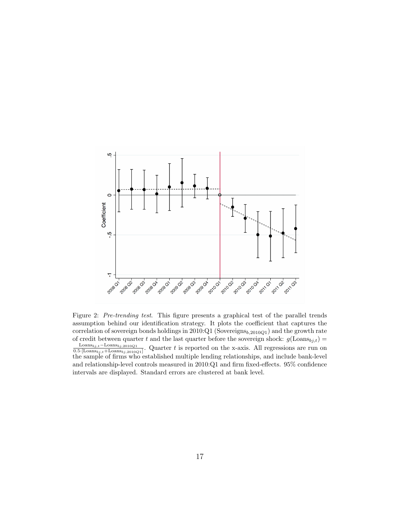

Figure 2: Pre-trending test. This figure presents a graphical test of the parallel trends assumption behind our identification strategy. It plots the coefficient that captures the correlation of sovereign bonds holdings in  $2010:Q1$  (Sovereigns<sub>b,2010Q1</sub>) and the growth rate of credit between quarter t and the last quarter before the sovereign shock:  $g(\text{Loans}_{bj,t}) =$  $\text{Loans}_{bj,t}-\text{Loans}_{bj,2010Q1}$  $\frac{\text{Loans}_{bj,t}-\text{Loans}_{bj,2010Q1}}{0.5\cdot[\text{Loans}_{bj,t}+\text{Loans}_{bj,2010Q1}]}$ . Quarter t is reported on the x-axis. All regressions are run on the sample of firms who established multiple lending relationships, and include bank-level and relationship-level controls measured in 2010:Q1 and firm fixed-effects. 95% confidence intervals are displayed. Standard errors are clustered at bank level.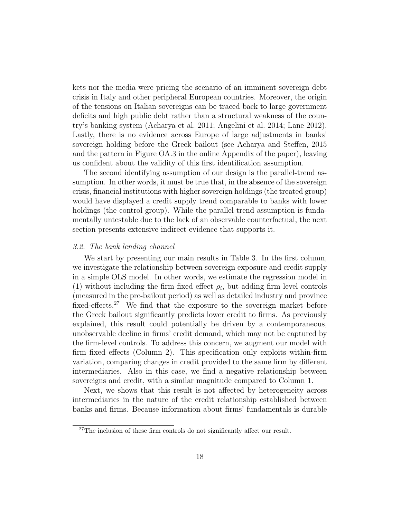kets nor the media were pricing the scenario of an imminent sovereign debt crisis in Italy and other peripheral European countries. Moreover, the origin of the tensions on Italian sovereigns can be traced back to large government deficits and high public debt rather than a structural weakness of the country's banking system (Acharya et al. 2011; Angelini et al. 2014; Lane 2012). Lastly, there is no evidence across Europe of large adjustments in banks' sovereign holding before the Greek bailout (see Acharya and Steffen, 2015 and the pattern in Figure OA.3 in the online Appendix of the paper), leaving us confident about the validity of this first identification assumption.

The second identifying assumption of our design is the parallel-trend assumption. In other words, it must be true that, in the absence of the sovereign crisis, financial institutions with higher sovereign holdings (the treated group) would have displayed a credit supply trend comparable to banks with lower holdings (the control group). While the parallel trend assumption is fundamentally untestable due to the lack of an observable counterfactual, the next section presents extensive indirect evidence that supports it.

#### 3.2. The bank lending channel

We start by presenting our main results in Table 3. In the first column, we investigate the relationship between sovereign exposure and credit supply in a simple OLS model. In other words, we estimate the regression model in (1) without including the firm fixed effect  $\rho_i$ , but adding firm level controls (measured in the pre-bailout period) as well as detailed industry and province fixed-effects.<sup>27</sup> We find that the exposure to the sovereign market before the Greek bailout significantly predicts lower credit to firms. As previously explained, this result could potentially be driven by a contemporaneous, unobservable decline in firms' credit demand, which may not be captured by the firm-level controls. To address this concern, we augment our model with firm fixed effects (Column 2). This specification only exploits within-firm variation, comparing changes in credit provided to the same firm by different intermediaries. Also in this case, we find a negative relationship between sovereigns and credit, with a similar magnitude compared to Column 1.

Next, we shows that this result is not affected by heterogeneity across intermediaries in the nature of the credit relationship established between banks and firms. Because information about firms' fundamentals is durable

 $27$ The inclusion of these firm controls do not significantly affect our result.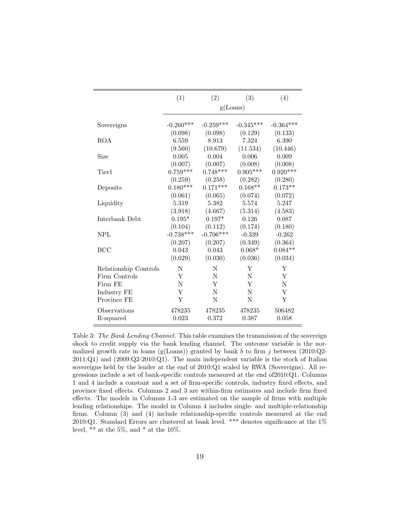|                       | (1)                              | (2)                         | (3)                         | (4)                         |
|-----------------------|----------------------------------|-----------------------------|-----------------------------|-----------------------------|
|                       |                                  |                             | g(Loans)                    |                             |
| Sovereigns            | $-0.260***$                      | $-0.259***$                 | $-0.345***$                 | $-0.364***$                 |
| <b>ROA</b>            | (0.098)                          | (0.098)                     | (0.129)                     | (0.133)                     |
|                       | 6.559                            | 8.913                       | 7.324                       | 6.390                       |
|                       | (9.560)                          | (10.679)                    | (11.534)                    | (10.446)                    |
| Size                  | 0.005                            | 0.004                       | 0.006                       | 0.009                       |
|                       | (0.007)                          | (0.007)                     | (0.008)                     | (0.008)                     |
| Tier1                 | $0.759***$                       | $0.748***$                  | $0.905***$                  | $0.920***$                  |
| Deposits              | (0.259)<br>$0.180***$<br>(0.061) | (0.258)<br>$0.171***$       | (0.282)<br>$0.168**$        | (0.280)<br>$0.173**$        |
| Liquidity             | 5.319<br>(3.918)                 | (0.065)<br>5.382<br>(4.667) | (0.074)<br>5.574<br>(5.314) | (0.072)<br>5.247<br>(4.583) |
| Interbank Debt        | $0.195*$                         | $0.197*$                    | 0.126                       | 0.087                       |
|                       | (0.104)                          | (0.112)                     | (0.174)                     | (0.180)                     |
| <b>NPL</b>            | $-0.738***$                      | $-0.706***$                 | $-0.339$                    | $-0.262$                    |
|                       | (0.207)                          | (0.207)                     | (0.349)                     | (0.364)                     |
| <b>BCC</b>            | 0.043                            | 0.043                       | $0.068*$                    | $0.084**$                   |
|                       | (0.029)                          | (0.030)                     | (0.036)                     | (0.034)                     |
| Relationship Controls | N                                | N                           | Y                           | Y                           |
| Firm Controls         | Y                                | N                           | N                           | Y                           |
| Firm FE               | N                                | Y                           | Y                           | N                           |
| Industry FE           | Y                                | N                           | N                           | Y                           |
| Province FE           | Y                                | N                           | N                           | Y                           |
| Observations          | 478235                           | 478235                      | 478235                      | 506482                      |
| R-squared             | 0.023                            | 0.372                       | 0.387                       | 0.058                       |

Table 3: The Bank Lending Channel. This table examines the transmission of the sovereign shock to credit supply via the bank lending channel. The outcome variable is the normalized growth rate in loans (g(Loans)) granted by bank b to firm j between (2010:Q2-2011:Q1) and (2009:Q2-2010:Q1). The main independent variable is the stock of Italian sovereigns held by the lender at the end of 2010:Q1 scaled by RWA (Sovereigns). All regressions include a set of bank-specific controls measured at the end of2010:Q1. Columns 1 and 4 include a constant and a set of firm-specific controls, industry fixed effects, and province fixed effects. Columns 2 and 3 are within-firm estimates and include firm fixed effects. The models in Columns 1-3 are estimated on the sample of firms with multiple lending relationships. The model in Column 4 includes single- and multiple-relationship firms. Column (3) and (4) include relationship-specific controls measured at the end 2010:Q1. Standard Errors are clustered at bank level. \*\*\* denotes significance at the 1% level,  $**$  at the 5%, and  $*$  at the 10%.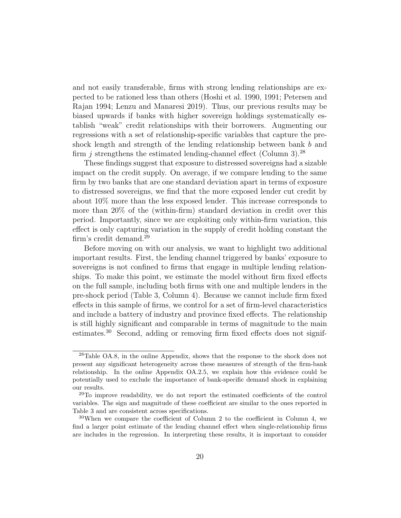and not easily transferable, firms with strong lending relationships are expected to be rationed less than others (Hoshi et al. 1990, 1991; Petersen and Rajan 1994; Lenzu and Manaresi 2019). Thus, our previous results may be biased upwards if banks with higher sovereign holdings systematically establish "weak" credit relationships with their borrowers. Augmenting our regressions with a set of relationship-specific variables that capture the preshock length and strength of the lending relationship between bank b and firm *j* strengthens the estimated lending-channel effect (Column 3).<sup>28</sup>

These findings suggest that exposure to distressed sovereigns had a sizable impact on the credit supply. On average, if we compare lending to the same firm by two banks that are one standard deviation apart in terms of exposure to distressed sovereigns, we find that the more exposed lender cut credit by about 10% more than the less exposed lender. This increase corresponds to more than 20% of the (within-firm) standard deviation in credit over this period. Importantly, since we are exploiting only within-firm variation, this effect is only capturing variation in the supply of credit holding constant the firm's credit demand.<sup>29</sup>

Before moving on with our analysis, we want to highlight two additional important results. First, the lending channel triggered by banks' exposure to sovereigns is not confined to firms that engage in multiple lending relationships. To make this point, we estimate the model without firm fixed effects on the full sample, including both firms with one and multiple lenders in the pre-shock period (Table 3, Column 4). Because we cannot include firm fixed effects in this sample of firms, we control for a set of firm-level characteristics and include a battery of industry and province fixed effects. The relationship is still highly significant and comparable in terms of magnitude to the main estimates.<sup>30</sup> Second, adding or removing firm fixed effects does not signif-

<sup>28</sup>Table OA.8, in the online Appendix, shows that the response to the shock does not present any significant heterogeneity across these measures of strength of the firm-bank relationship. In the online Appendix OA.2.5, we explain how this evidence could be potentially used to exclude the importance of bank-specific demand shock in explaining our results.

<sup>&</sup>lt;sup>29</sup>To improve readability, we do not report the estimated coefficients of the control variables. The sign and magnitude of these coefficient are similar to the ones reported in Table 3 and are consistent across specifications.

 $30$ When we compare the coefficient of Column 2 to the coefficient in Column 4, we find a larger point estimate of the lending channel effect when single-relationship firms are includes in the regression. In interpreting these results, it is important to consider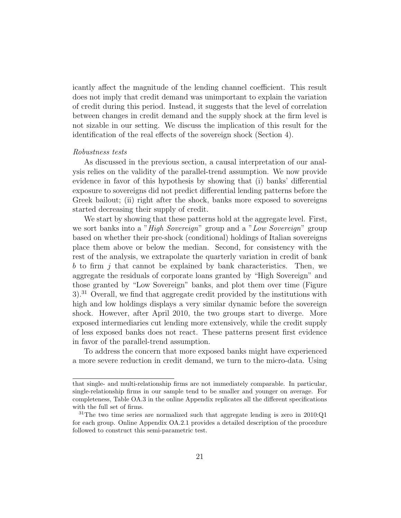icantly affect the magnitude of the lending channel coefficient. This result does not imply that credit demand was unimportant to explain the variation of credit during this period. Instead, it suggests that the level of correlation between changes in credit demand and the supply shock at the firm level is not sizable in our setting. We discuss the implication of this result for the identification of the real effects of the sovereign shock (Section 4).

### Robustness tests

As discussed in the previous section, a causal interpretation of our analysis relies on the validity of the parallel-trend assumption. We now provide evidence in favor of this hypothesis by showing that (i) banks' differential exposure to sovereigns did not predict differential lending patterns before the Greek bailout; (ii) right after the shock, banks more exposed to sovereigns started decreasing their supply of credit.

We start by showing that these patterns hold at the aggregate level. First, we sort banks into a "High Sovereign" group and a "Low Sovereign" group based on whether their pre-shock (conditional) holdings of Italian sovereigns place them above or below the median. Second, for consistency with the rest of the analysis, we extrapolate the quarterly variation in credit of bank  $b$  to firm  $j$  that cannot be explained by bank characteristics. Then, we aggregate the residuals of corporate loans granted by "High Sovereign" and those granted by "Low Sovereign" banks, and plot them over time (Figure  $3$ <sup>3</sup>.<sup>31</sup> Overall, we find that aggregate credit provided by the institutions with high and low holdings displays a very similar dynamic before the sovereign shock. However, after April 2010, the two groups start to diverge. More exposed intermediaries cut lending more extensively, while the credit supply of less exposed banks does not react. These patterns present first evidence in favor of the parallel-trend assumption.

To address the concern that more exposed banks might have experienced a more severe reduction in credit demand, we turn to the micro-data. Using

that single- and multi-relationship firms are not immediately comparable. In particular, single-relationship firms in our sample tend to be smaller and younger on average. For completeness, Table OA.3 in the online Appendix replicates all the different specifications with the full set of firms.

<sup>31</sup>The two time series are normalized such that aggregate lending is zero in 2010:Q1 for each group. Online Appendix OA.2.1 provides a detailed description of the procedure followed to construct this semi-parametric test.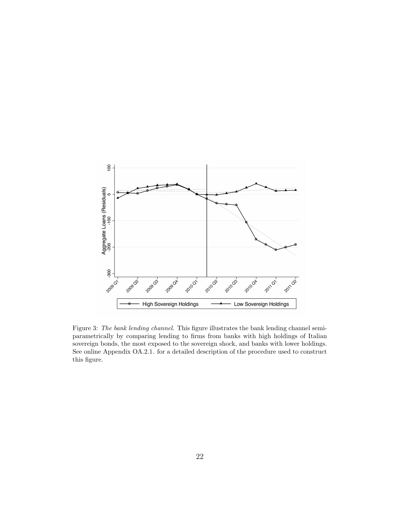

Figure 3: The bank lending channel. This figure illustrates the bank lending channel semiparametrically by comparing lending to firms from banks with high holdings of Italian sovereign bonds, the most exposed to the sovereign shock, and banks with lower holdings. See online Appendix OA.2.1. for a detailed description of the procedure used to construct this figure.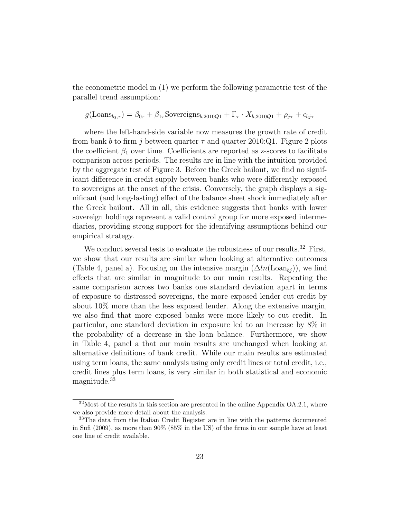the econometric model in (1) we perform the following parametric test of the parallel trend assumption:

$$
g(\text{Loans}_{bj,\tau}) = \beta_{0\tau} + \beta_{1\tau} \text{Sovereigns}_{b,2010Q1} + \Gamma_{\tau} \cdot X_{b,2010Q1} + \rho_{j\tau} + \epsilon_{bj\tau}
$$

where the left-hand-side variable now measures the growth rate of credit from bank b to firm j between quarter  $\tau$  and quarter 2010:Q1. Figure 2 plots the coefficient  $\beta_1$  over time. Coefficients are reported as z-scores to facilitate comparison across periods. The results are in line with the intuition provided by the aggregate test of Figure 3. Before the Greek bailout, we find no significant difference in credit supply between banks who were differently exposed to sovereigns at the onset of the crisis. Conversely, the graph displays a significant (and long-lasting) effect of the balance sheet shock immediately after the Greek bailout. All in all, this evidence suggests that banks with lower sovereign holdings represent a valid control group for more exposed intermediaries, providing strong support for the identifying assumptions behind our empirical strategy.

We conduct several tests to evaluate the robustness of our results.<sup>32</sup> First, we show that our results are similar when looking at alternative outcomes (Table 4, panel a). Focusing on the intensive margin  $(\Delta ln(\text{Loan}_{bi}))$ , we find effects that are similar in magnitude to our main results. Repeating the same comparison across two banks one standard deviation apart in terms of exposure to distressed sovereigns, the more exposed lender cut credit by about 10% more than the less exposed lender. Along the extensive margin, we also find that more exposed banks were more likely to cut credit. In particular, one standard deviation in exposure led to an increase by 8% in the probability of a decrease in the loan balance. Furthermore, we show in Table 4, panel a that our main results are unchanged when looking at alternative definitions of bank credit. While our main results are estimated using term loans, the same analysis using only credit lines or total credit, i.e., credit lines plus term loans, is very similar in both statistical and economic magnitude.<sup>33</sup>

 $32$ Most of the results in this section are presented in the online Appendix OA.2.1, where we also provide more detail about the analysis.

<sup>&</sup>lt;sup>33</sup>The data from the Italian Credit Register are in line with the patterns documented in Sufi (2009), as more than 90% (85% in the US) of the firms in our sample have at least one line of credit available.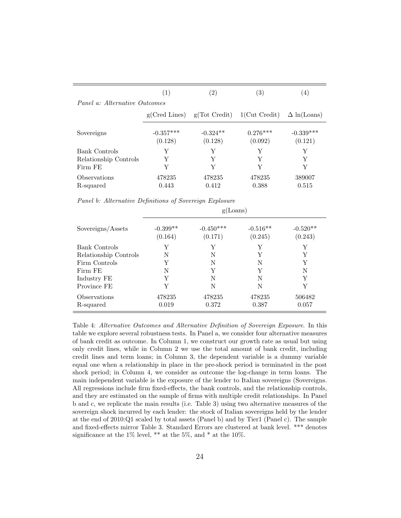|                               | (1)                    | (2)                                             | (3)                   | 4)                     |
|-------------------------------|------------------------|-------------------------------------------------|-----------------------|------------------------|
| Panel a: Alternative Outcomes |                        |                                                 |                       |                        |
|                               |                        | $g(Cred Lines)$ $g(Tot Credit)$ $1(Cut Credit)$ |                       | $\Delta$ ln(Loans)     |
| Sovereigns                    | $-0.357***$<br>(0.128) | $-0.324**$<br>(0.128)                           | $0.276***$<br>(0.092) | $-0.339***$<br>(0.121) |
| Bank Controls                 | Y                      | Y                                               | Y                     | Y                      |
| Relationship Controls         | Y                      | Y                                               | Y                     | Y                      |
| Firm FE                       | Y                      | Y                                               | Y                     | Y                      |
| Observations<br>R-squared     | 478235<br>0.443        | 478235<br>0.412                                 | 478235<br>0.388       | 389007<br>0.515        |

Panel b: Alternative Definitions of Sovereign Explosure

|                           |                       | g(Loans)               |                       |                       |
|---------------------------|-----------------------|------------------------|-----------------------|-----------------------|
| Sovereigns/Assets         | $-0.399**$<br>(0.164) | $-0.450***$<br>(0.171) | $-0.516**$<br>(0.245) | $-0.520**$<br>(0.243) |
| Bank Controls             | Y                     | Y                      | Y                     | Y                     |
| Relationship Controls     | N                     | N                      | Y                     | Y                     |
| Firm Controls             | Y                     | N                      | N                     | Y                     |
| Firm FE                   | N                     | Y                      | Y                     | N                     |
| Industry FE               | Y                     | N                      | N                     | Y                     |
| Province FE               | Y                     | N                      | N                     | Y                     |
| Observations<br>R-squared | 478235<br>0.019       | 478235<br>0.372        | 478235<br>0.387       | 506482<br>0.057       |

Table 4: Alternative Outcomes and Alternative Definition of Sovereign Exposure. In this table we explore several robustness tests. In Panel a, we consider four alternative measures of bank credit as outcome. In Column 1, we construct our growth rate as usual but using only credit lines, while in Column 2 we use the total amount of bank credit, including credit lines and term loans; in Column 3, the dependent variable is a dummy variable equal one when a relationship in place in the pre-shock period is terminated in the post shock period; in Column 4, we consider as outcome the log-change in term loans. The main independent variable is the exposure of the lender to Italian sovereigns (Sovereigns. All regressions include firm fixed-effects, the bank controls, and the relationship controls, and they are estimated on the sample of firms with multiple credit relationships. In Panel b and c, we replicate the main results (i.e. Table 3) using two alternative measures of the sovereign shock incurred by each lender: the stock of Italian sovereigns held by the lender at the end of 2010:Q1 scaled by total assets (Panel b) and by Tier1 (Panel c). The sample and fixed-effects mirror Table 3. Standard Errors are clustered at bank level. \*\*\* denotes significance at the  $1\%$  level,  $**$  at the  $5\%$ , and  $*$  at the  $10\%$ .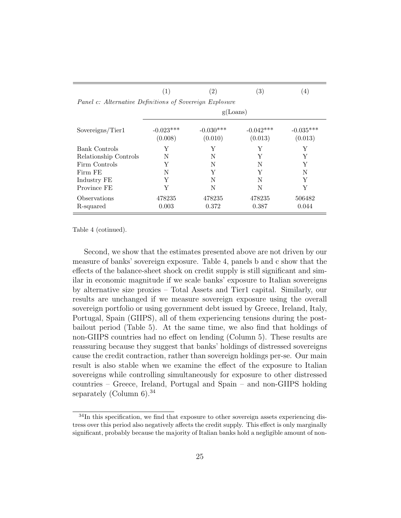|                                                         |                        | $\left( 2\right)$      | (3)                    | (4)                    |
|---------------------------------------------------------|------------------------|------------------------|------------------------|------------------------|
| Panel c: Alternative Definitions of Sovereign Explosure |                        |                        |                        |                        |
|                                                         |                        | g(Loans)               |                        |                        |
| Sovereigns/Tier1                                        | $-0.023***$<br>(0.008) | $-0.030***$<br>(0.010) | $-0.042***$<br>(0.013) | $-0.035***$<br>(0.013) |
| Bank Controls                                           | Y                      | Y                      | Y                      | Y                      |
| Relationship Controls                                   | N                      | N                      | Y                      | Y                      |
| Firm Controls                                           | Y                      | N                      | N                      | Y                      |
| Firm FE                                                 | N                      | Y                      | Y                      | N                      |
| Industry FE                                             | Y                      | N                      | N                      | Y                      |
| Province FE                                             | Y                      | N                      | N                      | Y                      |
| Observations                                            | 478235                 | 478235                 | 478235                 | 506482                 |
| R-squared                                               | 0.003                  | 0.372                  | 0.387                  | 0.044                  |

Table 4 (cotinued).

Second, we show that the estimates presented above are not driven by our measure of banks' sovereign exposure. Table 4, panels b and c show that the effects of the balance-sheet shock on credit supply is still significant and similar in economic magnitude if we scale banks' exposure to Italian sovereigns by alternative size proxies – Total Assets and Tier1 capital. Similarly, our results are unchanged if we measure sovereign exposure using the overall sovereign portfolio or using government debt issued by Greece, Ireland, Italy, Portugal, Spain (GIIPS), all of them experiencing tensions during the postbailout period (Table 5). At the same time, we also find that holdings of non-GIIPS countries had no effect on lending (Column 5). These results are reassuring because they suggest that banks' holdings of distressed sovereigns cause the credit contraction, rather than sovereign holdings per-se. Our main result is also stable when we examine the effect of the exposure to Italian sovereigns while controlling simultaneously for exposure to other distressed countries – Greece, Ireland, Portugal and Spain – and non-GIIPS holding separately (Column  $6$ ).<sup>34</sup>

<sup>34</sup>In this specification, we find that exposure to other sovereign assets experiencing distress over this period also negatively affects the credit supply. This effect is only marginally significant, probably because the majority of Italian banks hold a negligible amount of non-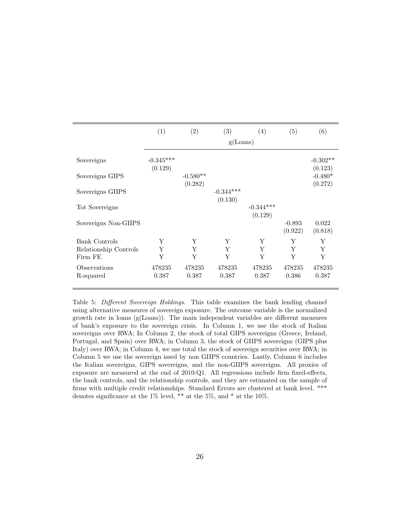|                       | (1)                    | (2)        | (3)                    | (4)         | (5)                 | (6)                   |
|-----------------------|------------------------|------------|------------------------|-------------|---------------------|-----------------------|
|                       |                        |            | g(Loans)               |             |                     |                       |
| Sovereigns            | $-0.345***$<br>(0.129) |            |                        |             |                     | $-0.302**$<br>(0.123) |
| Sovereigns GIPS       |                        | $-0.580**$ |                        |             |                     | $-0.480*$             |
| Sovereigns GIIPS      |                        | (0.282)    | $-0.344***$<br>(0.130) |             |                     | (0.272)               |
| Tot Sovereigns        |                        |            |                        | $-0.344***$ |                     |                       |
| Sovereigns Non-GIIPS  |                        |            |                        | (0.129)     | $-0.893$<br>(0.922) | 0.022<br>(0.818)      |
| <b>Bank Controls</b>  | Y                      | Y          | Y                      | Y           | Y                   | Y                     |
| Relationship Controls | Y                      | Y          | Y                      | Y           | Y                   | Y                     |
| Firm FE               | Y                      | Y          | Y                      | Y           | Y                   | Y                     |
| Observations          | 478235                 | 478235     | 478235                 | 478235      | 478235              | 478235                |
| R-squared             | 0.387                  | 0.387      | 0.387                  | 0.387       | 0.386               | 0.387                 |

Table 5: Different Sovereign Holdings. This table examines the bank lending channel using alternative measures of sovereign exposure. The outcome variable is the normalized growth rate in loans (g(Loans)). The main independent variables are different measures of bank's exposure to the sovereign crisis. In Column 1, we use the stock of Italian sovereigns over RWA; In Column 2, the stock of total GIPS sovereigns (Greece, Ireland, Portugal, and Spain) over RWA; in Column 3, the stock of GIIPS sovereigns (GIPS plus Italy) over RWA; in Column 4, we use total the stock of sovereign securities over RWA; in Column 5 we use the sovereign issed by non GIIPS countries. Lastly, Column 6 includes the Italian sovereigns, GIPS sovereigns, and the non-GIIPS sovereigns. All proxies of exposure are measured at the end of 2010:Q1. All regressions include firm fixed-effects, the bank controls, and the relationship controls, and they are estimated on the sample of firms with multiple credit relationships. Standard Errors are clustered at bank level. \*\*\* denotes significance at the  $1\%$  level, \*\* at the  $5\%$ , and \* at the  $10\%$ .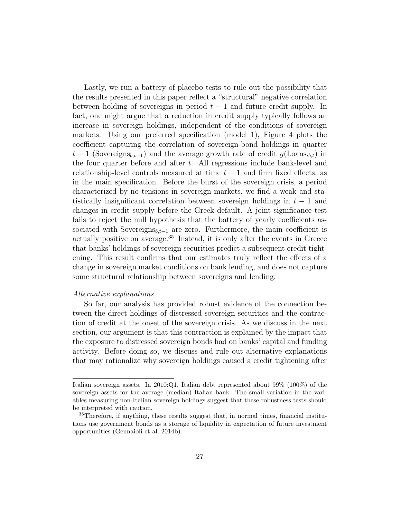Lastly, we run a battery of placebo tests to rule out the possibility that the results presented in this paper reflect a "structural" negative correlation between holding of sovereigns in period  $t-1$  and future credit supply. In fact, one might argue that a reduction in credit supply typically follows an increase in sovereign holdings, independent of the conditions of sovereign markets. Using our preferred specification (model 1), Figure 4 plots the coefficient capturing the correlation of sovereign-bond holdings in quarter  $t-1$  (Sovereigns<sub>b,t-1</sub>) and the average growth rate of credit  $g(\text{Loans}_{ib,t})$  in the four quarter before and after  $t$ . All regressions include bank-level and relationship-level controls measured at time  $t - 1$  and firm fixed effects, as in the main specification. Before the burst of the sovereign crisis, a period characterized by no tensions in sovereign markets, we find a weak and statistically insignificant correlation between sovereign holdings in  $t - 1$  and changes in credit supply before the Greek default. A joint significance test fails to reject the null hypothesis that the battery of yearly coefficients associated with Sovereigns $_{b,t-1}$  are zero. Furthermore, the main coefficient is actually positive on average.<sup>35</sup> Instead, it is only after the events in Greece that banks' holdings of sovereign securities predict a subsequent credit tightening. This result confirms that our estimates truly reflect the effects of a change in sovereign market conditions on bank lending, and does not capture some structural relationship between sovereigns and lending.

### Alternative explanations

So far, our analysis has provided robust evidence of the connection between the direct holdings of distressed sovereign securities and the contraction of credit at the onset of the sovereign crisis. As we discuss in the next section, our argument is that this contraction is explained by the impact that the exposure to distressed sovereign bonds had on banks' capital and funding activity. Before doing so, we discuss and rule out alternative explanations that may rationalize why sovereign holdings caused a credit tightening after

Italian sovereign assets. In 2010:Q1, Italian debt represented about 99% (100%) of the sovereign assets for the average (median) Italian bank. The small variation in the variables measuring non-Italian sovereign holdings suggest that these robustness tests should be interpreted with caution.

<sup>&</sup>lt;sup>35</sup>Therefore, if anything, these results suggest that, in normal times, financial institutions use government bonds as a storage of liquidity in expectation of future investment opportunities (Gennaioli et al. 2014b).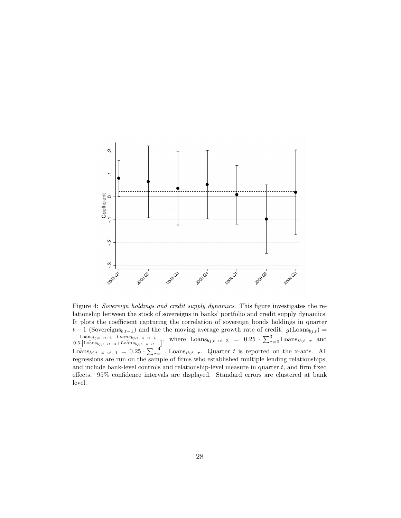

Figure 4: Sovereign holdings and credit supply dynamics. This figure investigates the relationship between the stock of sovereigns in banks' portfolio and credit supply dynamics. It plots the coefficient capturing the correlation of sovereign bonds holdings in quarter  $t-1$  (Sovereigns<sub>b,t-1</sub>) and the the moving average growth rate of credit:  $g(\text{Loans}_{bj,t}) =$  $\overline{\text{Loans}}_{bj,t\to t+3}-\overline{\text{Loans}}_{bj,t-4\to t-1}$  $\frac{\text{Loans}_{b,j,t\to t+3}-\text{Loans}_{b,j,t-4\to t-1}}{0.5\cdot[\text{Loans}_{b,j,t\to t+3}+\text{Loans}_{b,j,t-4\to t-1}]},$  where  $\text{Loans}_{b,j,t\to t+3}$  =  $0.25 \cdot \sum_{\tau=0}^{3} \text{Loans}_{b,b,t+\tau}$  and  $\overline{\text{Loans}}_{b,j,t-4\to t-1} = 0.25 \cdot \sum_{\tau=-1}^{-4} \text{Loans}_{ib,t+\tau}$ . Quarter t is reported on the x-axis. All regressions are run on the sample of firms who established multiple lending relationships, and include bank-level controls and relationship-level measure in quarter  $t$ , and firm fixed effects. 95% confidence intervals are displayed. Standard errors are clustered at bank level.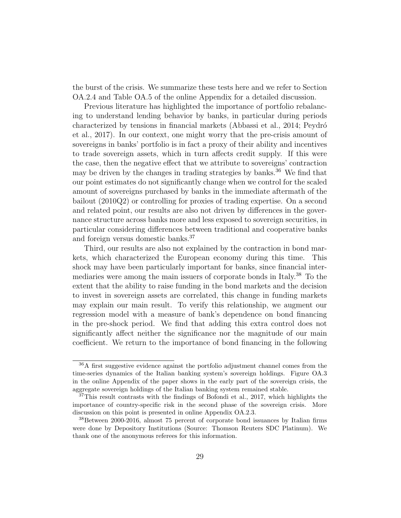the burst of the crisis. We summarize these tests here and we refer to Section OA.2.4 and Table OA.5 of the online Appendix for a detailed discussion.

Previous literature has highlighted the importance of portfolio rebalancing to understand lending behavior by banks, in particular during periods characterized by tensions in financial markets (Abbassi et al., 2014; Peydró et al., 2017). In our context, one might worry that the pre-crisis amount of sovereigns in banks' portfolio is in fact a proxy of their ability and incentives to trade sovereign assets, which in turn affects credit supply. If this were the case, then the negative effect that we attribute to sovereigns' contraction may be driven by the changes in trading strategies by banks.<sup>36</sup> We find that our point estimates do not significantly change when we control for the scaled amount of sovereigns purchased by banks in the immediate aftermath of the bailout (2010Q2) or controlling for proxies of trading expertise. On a second and related point, our results are also not driven by differences in the governance structure across banks more and less exposed to sovereign securities, in particular considering differences between traditional and cooperative banks and foreign versus domestic banks.<sup>37</sup>

Third, our results are also not explained by the contraction in bond markets, which characterized the European economy during this time. This shock may have been particularly important for banks, since financial intermediaries were among the main issuers of corporate bonds in Italy.<sup>38</sup> To the extent that the ability to raise funding in the bond markets and the decision to invest in sovereign assets are correlated, this change in funding markets may explain our main result. To verify this relationship, we augment our regression model with a measure of bank's dependence on bond financing in the pre-shock period. We find that adding this extra control does not significantly affect neither the significance nor the magnitude of our main coefficient. We return to the importance of bond financing in the following

<sup>36</sup>A first suggestive evidence against the portfolio adjustment channel comes from the time-series dynamics of the Italian banking system's sovereign holdings. Figure OA.3 in the online Appendix of the paper shows in the early part of the sovereign crisis, the aggregate sovereign holdings of the Italian banking system remained stable.

<sup>&</sup>lt;sup>37</sup>This result contrasts with the findings of Bofondi et al., 2017, which highlights the importance of country-specific risk in the second phase of the sovereign crisis. More discussion on this point is presented in online Appendix OA.2.3.

<sup>38</sup>Between 2000-2016, almost 75 percent of corporate bond issuances by Italian firms were done by Depository Institutions (Source: Thomson Reuters SDC Platinum). We thank one of the anonymous referees for this information.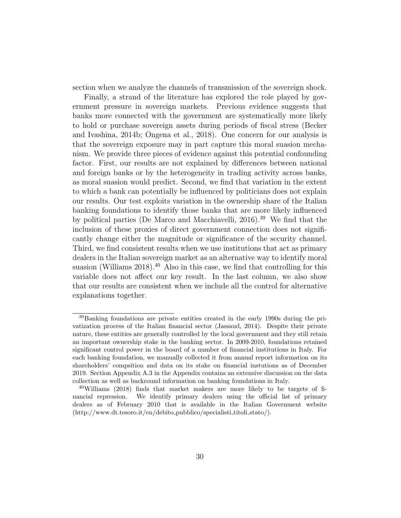section when we analyze the channels of transmission of the sovereign shock.

Finally, a strand of the literature has explored the role played by government pressure in sovereign markets. Previous evidence suggests that banks more connected with the government are systematically more likely to hold or purchase sovereign assets during periods of fiscal stress (Becker and Ivashina, 2014b; Ongena et al., 2018). One concern for our analysis is that the sovereign exposure may in part capture this moral suasion mechanism. We provide three pieces of evidence against this potential confounding factor. First, our results are not explained by differences between national and foreign banks or by the heterogeneity in trading activity across banks, as moral suasion would predict. Second, we find that variation in the extent to which a bank can potentially be influenced by politicians does not explain our results. Our test exploits variation in the ownership share of the Italian banking foundations to identify those banks that are more likely influenced by political parties (De Marco and Macchiavelli, 2016).<sup>39</sup> We find that the inclusion of these proxies of direct government connection does not significantly change either the magnitude or significance of the security channel. Third, we find consistent results when we use institutions that act as primary dealers in the Italian sovereign market as an alternative way to identify moral suasion (Williams  $2018$ ).<sup>40</sup> Also in this case, we find that controlling for this variable does not affect our key result. In the last column, we also show that our results are consistent when we include all the control for alternative explanations together.

<sup>39</sup>Banking foundations are private entities created in the early 1990s during the privatization process of the Italian financial sector (Jassaud, 2014). Despite their private nature, these entities are generally controlled by the local government and they still retain an important ownership stake in the banking sector. In 2009-2010, foundations retained significant control power in the board of a number of financial institutions in Italy. For each banking foundation, we manually collected it from annual report information on its shareholders' compsition and data on its stake on financial instutions as of December 2019. Section Appendix A.3 in the Appendix contains an extensive discussion on the data collection as well as backround information on banking foundations in Italy.

 $^{40}$ Williams (2018) finds that market makers are more likely to be targets of financial repression. We identify primary dealers using the official list of primary dealers as of February 2010 that is available in the Italian Government website (http://www.dt.tesoro.it/en/debito pubblico/specialisti titoli stato/).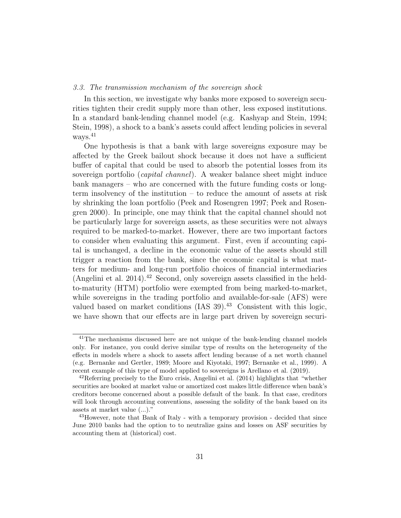### 3.3. The transmission mechanism of the sovereign shock

In this section, we investigate why banks more exposed to sovereign securities tighten their credit supply more than other, less exposed institutions. In a standard bank-lending channel model (e.g. Kashyap and Stein, 1994; Stein, 1998), a shock to a bank's assets could affect lending policies in several ways.<sup>41</sup>

One hypothesis is that a bank with large sovereigns exposure may be affected by the Greek bailout shock because it does not have a sufficient buffer of capital that could be used to absorb the potential losses from its sovereign portfolio (capital channel). A weaker balance sheet might induce bank managers – who are concerned with the future funding costs or longterm insolvency of the institution – to reduce the amount of assets at risk by shrinking the loan portfolio (Peek and Rosengren 1997; Peek and Rosengren 2000). In principle, one may think that the capital channel should not be particularly large for sovereign assets, as these securities were not always required to be marked-to-market. However, there are two important factors to consider when evaluating this argument. First, even if accounting capital is unchanged, a decline in the economic value of the assets should still trigger a reaction from the bank, since the economic capital is what matters for medium- and long-run portfolio choices of financial intermediaries (Angelini et al. 2014).<sup>42</sup> Second, only sovereign assets classified in the heldto-maturity (HTM) portfolio were exempted from being marked-to-market, while sovereigns in the trading portfolio and available-for-sale (AFS) were valued based on market conditions  $(IAS\ 39).<sup>43</sup>$  Consistent with this logic, we have shown that our effects are in large part driven by sovereign securi-

<sup>41</sup>The mechanisms discussed here are not unique of the bank-lending channel models only. For instance, you could derive similar type of results on the heterogeneity of the effects in models where a shock to assets affect lending because of a net worth channel (e.g. Bernanke and Gertler, 1989; Moore and Kiyotaki, 1997; Bernanke et al., 1999). A recent example of this type of model applied to sovereigns is Arellano et al. (2019).

 $^{42}$ Referring precisely to the Euro crisis, Angelini et al. (2014) highlights that "whether securities are booked at market value or amortized cost makes little difference when bank's creditors become concerned about a possible default of the bank. In that case, creditors will look through accounting conventions, assessing the solidity of the bank based on its assets at market value (...)."

<sup>&</sup>lt;sup>43</sup>However, note that Bank of Italy - with a temporary provision - decided that since June 2010 banks had the option to to neutralize gains and losses on ASF securities by accounting them at (historical) cost.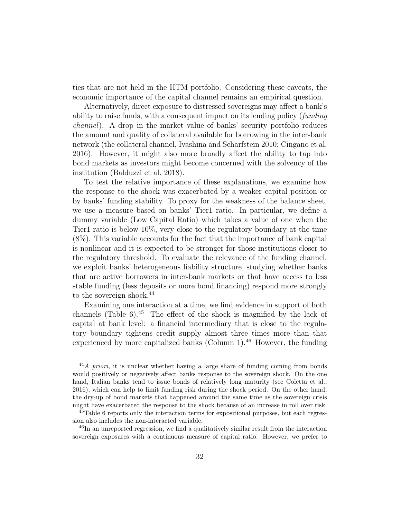ties that are not held in the HTM portfolio. Considering these caveats, the economic importance of the capital channel remains an empirical question.

Alternatively, direct exposure to distressed sovereigns may affect a bank's ability to raise funds, with a consequent impact on its lending policy (funding channel). A drop in the market value of banks' security portfolio reduces the amount and quality of collateral available for borrowing in the inter-bank network (the collateral channel, Ivashina and Scharfstein 2010; Cingano et al. 2016). However, it might also more broadly affect the ability to tap into bond markets as investors might become concerned with the solvency of the institution (Balduzzi et al. 2018).

To test the relative importance of these explanations, we examine how the response to the shock was exacerbated by a weaker capital position or by banks' funding stability. To proxy for the weakness of the balance sheet, we use a measure based on banks' Tier1 ratio. In particular, we define a dummy variable (Low Capital Ratio) which takes a value of one when the Tier1 ratio is below 10%, very close to the regulatory boundary at the time (8%). This variable accounts for the fact that the importance of bank capital is nonlinear and it is expected to be stronger for those institutions closer to the regulatory threshold. To evaluate the relevance of the funding channel, we exploit banks' heterogeneous liability structure, studying whether banks that are active borrowers in inter-bank markets or that have access to less stable funding (less deposits or more bond financing) respond more strongly to the sovereign shock.<sup>44</sup>

Examining one interaction at a time, we find evidence in support of both channels (Table 6).<sup>45</sup> The effect of the shock is magnified by the lack of capital at bank level: a financial intermediary that is close to the regulatory boundary tightens credit supply almost three times more than that experienced by more capitalized banks (Column 1).<sup>46</sup> However, the funding

<sup>&</sup>lt;sup>44</sup>A priori, it is unclear whether having a large share of funding coming from bonds would positively or negatively affect banks response to the sovereign shock. On the one hand, Italian banks tend to issue bonds of relatively long maturity (see Coletta et al., 2016), which can help to limit funding risk during the shock period. On the other hand, the dry-up of bond markets that happened around the same time as the sovereign crisis might have exacerbated the response to the shock because of an increase in roll over risk.

<sup>&</sup>lt;sup>45</sup>Table 6 reports only the interaction terms for expositional purposes, but each regression also includes the non-interacted variable.

<sup>&</sup>lt;sup>46</sup>In an unreported regression, we find a qualitatively similar result from the interaction sovereign exposures with a continuous measure of capital ratio. However, we prefer to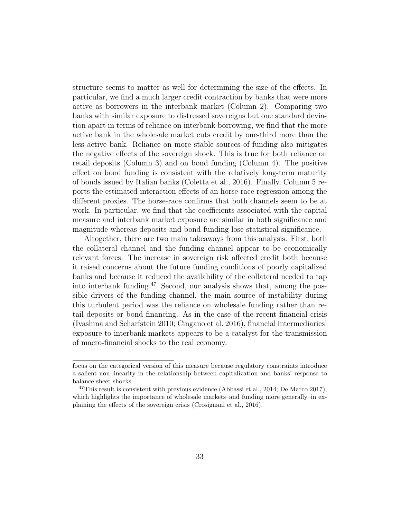structure seems to matter as well for determining the size of the effects. In particular, we find a much larger credit contraction by banks that were more active as borrowers in the interbank market (Column 2). Comparing two banks with similar exposure to distressed sovereigns but one standard deviation apart in terms of reliance on interbank borrowing, we find that the more active bank in the wholesale market cuts credit by one-third more than the less active bank. Reliance on more stable sources of funding also mitigates the negative effects of the sovereign shock. This is true for both reliance on retail deposits (Column 3) and on bond funding (Column 4). The positive effect on bond funding is consistent with the relatively long-term maturity of bonds issued by Italian banks (Coletta et al., 2016). Finally, Column 5 reports the estimated interaction effects of an horse-race regression among the different proxies. The horse-race confirms that both channels seem to be at work. In particular, we find that the coefficients associated with the capital measure and interbank market exposure are similar in both significance and magnitude whereas deposits and bond funding lose statistical significance.

Altogether, there are two main takeaways from this analysis. First, both the collateral channel and the funding channel appear to be economically relevant forces. The increase in sovereign risk affected credit both because it raised concerns about the future funding conditions of poorly capitalized banks and because it reduced the availability of the collateral needed to tap into interbank funding.<sup>47</sup> Second, our analysis shows that, among the possible drivers of the funding channel, the main source of instability during this turbulent period was the reliance on wholesale funding rather than retail deposits or bond financing. As in the case of the recent financial crisis (Ivashina and Scharfstein 2010; Cingano et al. 2016), financial intermediaries' exposure to interbank markets appears to be a catalyst for the transmission of macro-financial shocks to the real economy.

focus on the categorical version of this measure because regulatory constraints introduce a salient non-linearity in the relationship between capitalization and banks' response to balance sheet shocks.

<sup>&</sup>lt;sup>47</sup>This result is consistent with previous evidence (Abbassi et al., 2014; De Marco 2017), which highlights the importance of wholesale markets–and funding more generally–in explaining the effects of the sovereign crisis (Crosignani et al., 2016).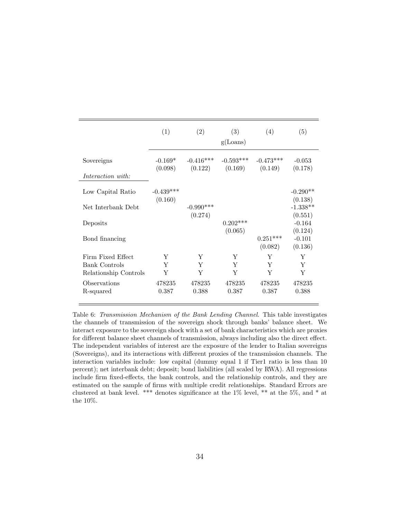|                                 | (1)                    | (2)                    | (3)<br>g(Loans)        | (4)                    | (5)                            |
|---------------------------------|------------------------|------------------------|------------------------|------------------------|--------------------------------|
| Sovereigns<br>Interaction with: | $-0.169*$<br>(0.098)   | $-0.416***$<br>(0.122) | $-0.593***$<br>(0.169) | $-0.473***$<br>(0.149) | $-0.053$<br>(0.178)            |
| Low Capital Ratio               | $-0.439***$<br>(0.160) |                        |                        |                        | $-0.290**$<br>(0.138)          |
| Net Interbank Debt              |                        | $-0.990***$            |                        |                        | $-1.338**$                     |
| Deposits                        |                        | (0.274)                | $0.202***$<br>(0.065)  |                        | (0.551)<br>$-0.164$<br>(0.124) |
| Bond financing                  |                        |                        |                        | $0.251***$<br>(0.082)  | $-0.101$<br>(0.136)            |
| Firm Fixed Effect               | Y                      | Y                      | Y                      | Y                      | Y                              |
| <b>Bank Controls</b>            | Y                      | Y                      | Y                      | Y                      | Y                              |
| Relationship Controls           | Y                      | Y                      | Y                      | Y                      | Υ                              |
| Observations                    | 478235                 | 478235                 | 478235                 | 478235                 | 478235                         |
| R-squared                       | 0.387                  | 0.388                  | 0.387                  | 0.387                  | 0.388                          |

Table 6: Transmission Mechanism of the Bank Lending Channel. This table investigates the channels of transmission of the sovereign shock through banks' balance sheet. We interact exposure to the sovereign shock with a set of bank characteristics which are proxies for different balance sheet channels of transmission, always including also the direct effect. The independent variables of interest are the exposure of the lender to Italian sovereigns (Sovereigns), and its interactions with different proxies of the transmission channels. The interaction variables include: low capital (dummy equal 1 if Tier1 ratio is less than 10 percent); net interbank debt; deposit; bond liabilities (all scaled by RWA). All regressions include firm fixed-effects, the bank controls, and the relationship controls, and they are estimated on the sample of firms with multiple credit relationships. Standard Errors are clustered at bank level. \*\*\* denotes significance at the 1% level, \*\* at the 5%, and \* at the 10%.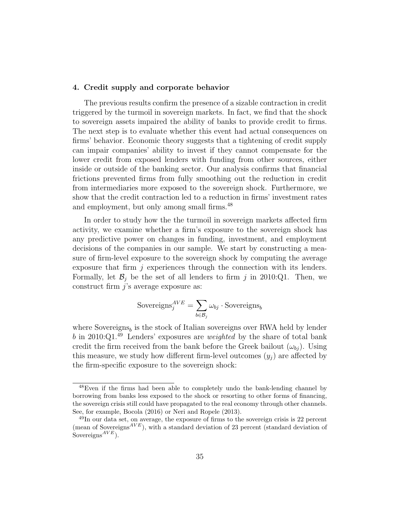#### 4. Credit supply and corporate behavior

The previous results confirm the presence of a sizable contraction in credit triggered by the turmoil in sovereign markets. In fact, we find that the shock to sovereign assets impaired the ability of banks to provide credit to firms. The next step is to evaluate whether this event had actual consequences on firms' behavior. Economic theory suggests that a tightening of credit supply can impair companies' ability to invest if they cannot compensate for the lower credit from exposed lenders with funding from other sources, either inside or outside of the banking sector. Our analysis confirms that financial frictions prevented firms from fully smoothing out the reduction in credit from intermediaries more exposed to the sovereign shock. Furthermore, we show that the credit contraction led to a reduction in firms' investment rates and employment, but only among small firms.<sup>48</sup>

In order to study how the the turmoil in sovereign markets affected firm activity, we examine whether a firm's exposure to the sovereign shock has any predictive power on changes in funding, investment, and employment decisions of the companies in our sample. We start by constructing a measure of firm-level exposure to the sovereign shock by computing the average exposure that firm  $j$  experiences through the connection with its lenders. Formally, let  $\mathcal{B}_j$  be the set of all lenders to firm j in 2010:Q1. Then, we construct firm  $j$ 's average exposure as:

$$
\text{Sovereigns}^{AVE}_j = \sum_{b \in \mathcal{B}_j} \omega_{bj} \cdot \text{Sovereigns}_b
$$

where Sovereigns<sub>b</sub> is the stock of Italian sovereigns over RWA held by lender b in 2010:Q1. $^{49}$  Lenders' exposures are *weighted* by the share of total bank credit the firm received from the bank before the Greek bailout  $(\omega_{bi})$ . Using this measure, we study how different firm-level outcomes  $(y_i)$  are affected by the firm-specific exposure to the sovereign shock:

<sup>48</sup>Even if the firms had been able to completely undo the bank-lending channel by borrowing from banks less exposed to the shock or resorting to other forms of financing, the sovereign crisis still could have propagated to the real economy through other channels. See, for example, Bocola (2016) or Neri and Ropele (2013).

<sup>49</sup>In our data set, on average, the exposure of firms to the sovereign crisis is 22 percent (mean of Sovereigns<sup> $AVE$ </sup>), with a standard deviation of 23 percent (standard deviation of Sovereigns<sup> $AVE$ </sup>).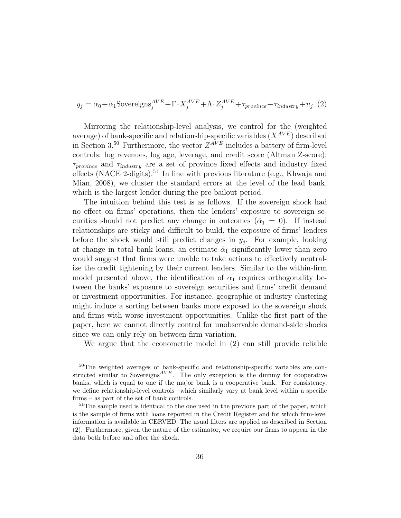$$
y_j = \alpha_0 + \alpha_1 \text{Sovereigns}_j^{AVE} + \Gamma \cdot X_j^{AVE} + \Lambda \cdot Z_j^{AVE} + \tau_{province} + \tau_{industry} + u_j \tag{2}
$$

Mirroring the relationship-level analysis, we control for the (weighted average) of bank-specific and relationship-specific variables  $(X^{AVE})$  described in Section 3.<sup>50</sup> Furthermore, the vector  $Z^{AVE}$  includes a battery of firm-level controls: log revenues, log age, leverage, and credit score (Altman Z-score);  $\tau_{province}$  and  $\tau_{industry}$  are a set of province fixed effects and industry fixed effects (NACE 2-digits).<sup>51</sup> In line with previous literature (e.g., Khwaja and Mian, 2008), we cluster the standard errors at the level of the lead bank, which is the largest lender during the pre-bailout period.

The intuition behind this test is as follows. If the sovereign shock had no effect on firms' operations, then the lenders' exposure to sovereign securities should not predict any change in outcomes  $(\hat{\alpha}_1 = 0)$ . If instead relationships are sticky and difficult to build, the exposure of firms' lenders before the shock would still predict changes in  $y_j$ . For example, looking at change in total bank loans, an estimate  $\hat{\alpha}_1$  significantly lower than zero would suggest that firms were unable to take actions to effectively neutralize the credit tightening by their current lenders. Similar to the within-firm model presented above, the identification of  $\alpha_1$  requires orthogonality between the banks' exposure to sovereign securities and firms' credit demand or investment opportunities. For instance, geographic or industry clustering might induce a sorting between banks more exposed to the sovereign shock and firms with worse investment opportunities. Unlike the first part of the paper, here we cannot directly control for unobservable demand-side shocks since we can only rely on between-firm variation.

We argue that the econometric model in (2) can still provide reliable

<sup>&</sup>lt;sup>50</sup>The weighted averages of bank-specific and relationship-specific variables are constructed similar to Sovereigns<sup> $AVE$ </sup>. The only exception is the dummy for cooperative banks, which is equal to one if the major bank is a cooperative bank. For consistency, we define relationship-level controls –which similarly vary at bank level within a specific firms – as part of the set of bank controls.

<sup>&</sup>lt;sup>51</sup>The sample used is identical to the one used in the previous part of the paper, which is the sample of firms with loans reported in the Credit Register and for which firm-level information is available in CERVED. The usual filters are applied as described in Section (2). Furthermore, given the nature of the estimator, we require our firms to appear in the data both before and after the shock.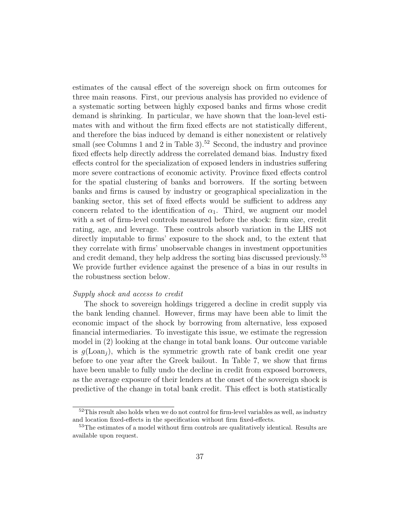estimates of the causal effect of the sovereign shock on firm outcomes for three main reasons. First, our previous analysis has provided no evidence of a systematic sorting between highly exposed banks and firms whose credit demand is shrinking. In particular, we have shown that the loan-level estimates with and without the firm fixed effects are not statistically different, and therefore the bias induced by demand is either nonexistent or relatively small (see Columns 1 and 2 in Table 3).<sup>52</sup> Second, the industry and province fixed effects help directly address the correlated demand bias. Industry fixed effects control for the specialization of exposed lenders in industries suffering more severe contractions of economic activity. Province fixed effects control for the spatial clustering of banks and borrowers. If the sorting between banks and firms is caused by industry or geographical specialization in the banking sector, this set of fixed effects would be sufficient to address any concern related to the identification of  $\alpha_1$ . Third, we augment our model with a set of firm-level controls measured before the shock: firm size, credit rating, age, and leverage. These controls absorb variation in the LHS not directly imputable to firms' exposure to the shock and, to the extent that they correlate with firms' unobservable changes in investment opportunities and credit demand, they help address the sorting bias discussed previously.<sup>53</sup> We provide further evidence against the presence of a bias in our results in the robustness section below.

### Supply shock and access to credit

The shock to sovereign holdings triggered a decline in credit supply via the bank lending channel. However, firms may have been able to limit the economic impact of the shock by borrowing from alternative, less exposed financial intermediaries. To investigate this issue, we estimate the regression model in (2) looking at the change in total bank loans. Our outcome variable is  $g(\text{Loan}_i)$ , which is the symmetric growth rate of bank credit one year before to one year after the Greek bailout. In Table 7, we show that firms have been unable to fully undo the decline in credit from exposed borrowers, as the average exposure of their lenders at the onset of the sovereign shock is predictive of the change in total bank credit. This effect is both statistically

 $52$ This result also holds when we do not control for firm-level variables as well, as industry and location fixed-effects in the specification without firm fixed-effects.

<sup>&</sup>lt;sup>53</sup>The estimates of a model without firm controls are qualitatively identical. Results are available upon request.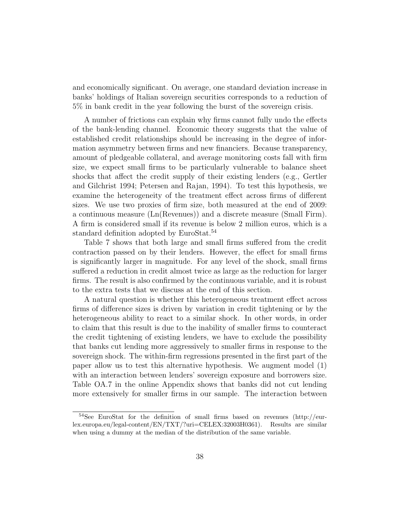and economically significant. On average, one standard deviation increase in banks' holdings of Italian sovereign securities corresponds to a reduction of 5% in bank credit in the year following the burst of the sovereign crisis.

A number of frictions can explain why firms cannot fully undo the effects of the bank-lending channel. Economic theory suggests that the value of established credit relationships should be increasing in the degree of information asymmetry between firms and new financiers. Because transparency, amount of pledgeable collateral, and average monitoring costs fall with firm size, we expect small firms to be particularly vulnerable to balance sheet shocks that affect the credit supply of their existing lenders (e.g., Gertler and Gilchrist 1994; Petersen and Rajan, 1994). To test this hypothesis, we examine the heterogeneity of the treatment effect across firms of different sizes. We use two proxies of firm size, both measured at the end of 2009: a continuous measure (Ln(Revenues)) and a discrete measure (Small Firm). A firm is considered small if its revenue is below 2 million euros, which is a standard definition adopted by EuroStat.<sup>54</sup>

Table 7 shows that both large and small firms suffered from the credit contraction passed on by their lenders. However, the effect for small firms is significantly larger in magnitude. For any level of the shock, small firms suffered a reduction in credit almost twice as large as the reduction for larger firms. The result is also confirmed by the continuous variable, and it is robust to the extra tests that we discuss at the end of this section.

A natural question is whether this heterogeneous treatment effect across firms of difference sizes is driven by variation in credit tightening or by the heterogeneous ability to react to a similar shock. In other words, in order to claim that this result is due to the inability of smaller firms to counteract the credit tightening of existing lenders, we have to exclude the possibility that banks cut lending more aggressively to smaller firms in response to the sovereign shock. The within-firm regressions presented in the first part of the paper allow us to test this alternative hypothesis. We augment model (1) with an interaction between lenders' sovereign exposure and borrowers size. Table OA.7 in the online Appendix shows that banks did not cut lending more extensively for smaller firms in our sample. The interaction between

<sup>54</sup>See EuroStat for the definition of small firms based on revenues (http://eurlex.europa.eu/legal-content/EN/TXT/?uri=CELEX:32003H0361). Results are similar when using a dummy at the median of the distribution of the same variable.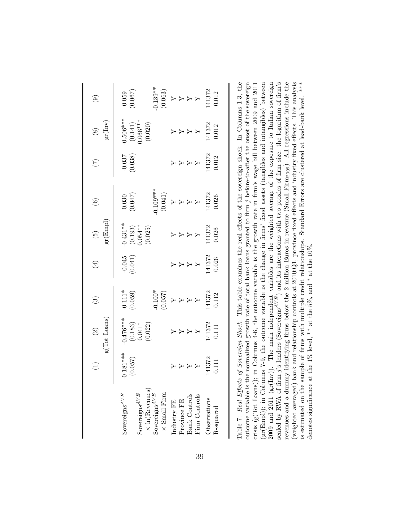| $\circledcirc$                                                  | $(0.059)$<br>(0.067)                                                                                               |                                                                                                                                                      |
|-----------------------------------------------------------------|--------------------------------------------------------------------------------------------------------------------|------------------------------------------------------------------------------------------------------------------------------------------------------|
| $\begin{array}{c} {\bf (8)} \\ {\rm gr}({\rm Inv}) \end{array}$ | $\begin{array}{c} 0.506*** \ (0.141) \\ 0.066*** \end{array}$                                                      | $\begin{array}{c} Y \\ Y \\ Y \\ Y \\ Y \\ 141372 \\ 0.012 \end{array}$                                                                              |
| $\widetilde{C}$                                                 | $-0.037$<br>$(0.038)$                                                                                              | $\begin{array}{c} \text{Y} \\ \text{Y} \\ \text{Y} \\ \text{Y} \\ \text{Y} \\ \text{Y} \\ \text{1372} \\ \text{0.012} \end{array}$                   |
| $\left( \begin{matrix} 6 \end{matrix} \right)$                  | $\begin{array}{c} 0.030 \\ (0.047) \end{array}$                                                                    | $\begin{array}{l} 0.109^{***} \ (0.041) \ \hline Y \ Y \ Y \ Y \ Y \ Y \ Y \ Y \ Y \ Y \ Y \ Y \ Y \ Y \ Y \ 141372 \end{array}$                     |
| $\begin{array}{c} (5)\\ \mathrm{gr}(\mathrm{Empl}) \end{array}$ | $-0.431**$<br>(0.193)<br>0.054**<br>(0.025)                                                                        | $\begin{array}{c} 0.026 \\ 0.026 \\ \end{array}$<br>A $\begin{array}{c} \text{X} \\ \text{X} \\ \text{X} \\ \text{X} \\ \end{array}$                 |
| $(4)$                                                           | $-0.045$<br>(0.041)                                                                                                | $\begin{array}{c} 141372 \\ 141372 \\ 141372 \\ \end{array}$                                                                                         |
| $\widehat{\mathfrak{B}}$                                        | $-0.111*$<br>(0.059)                                                                                               | $\begin{array}{l} -0.100^{*} \\ (0.057) \\ Y \\ Y \\ Y \\ Y \\ 141372 \\ 0.112 \\ 0.112 \\ \end{array}$                                              |
| $$\mbox{\it (2)}$$ $$\mbox{\it g(Tot Loans})$$                  | $-0.476***$<br>(0.183)<br>0.041*<br>0.022)                                                                         | $\begin{array}{c} \text{LIT1} \\ \text{RIST3} \\ \text{RIST4} \\ \text{RIST5} \end{array}$                                                           |
| $\left( 1\right)$                                               | $0.181***$<br>(0.057)                                                                                              | $\begin{array}{c} \mathtt{Y} \\ \mathtt{Y} \\ \mathtt{Y} \\ \mathtt{X} \\ \mathtt{H} \\ \mathtt{372} \\ \mathtt{1411} \\ \mathtt{0.111} \end{array}$ |
|                                                                 | $\times$ ln (Revenues)<br>Sovereigns $^{AVE}$<br>Sovereigns $^{AVE}$<br>Sovereigns $^{AVE}$<br>$\times$ Small Firm | Bank Controls<br>Firm Controls<br>Observations<br>$\ensuremath{$ \rm270} rovince<br>$\ensuremath{\mathrm{FE}}$<br>Industry ${\rm FE}$<br>R-squared   |

Table 7: Real Effects of Sovereign Shock. This table examines the real effects of the sovereign shock. In Columns 1-3, the outcome variable is the normalized growth rate of total bank loans granted to firm j before-to-after the onset of the sovereign scaled by RWA of firm  $j$ 's lenders (Sovereigns<sup> $AVE$ </sup>) and its interactions with two proxies of firm size: the logarithm of firm's revenues and a dummy identifying firms below the 2 million Euros in revenue (Small Firm<sub>2009</sub>). All regressions include the (weighted averaged) bank and relationship controls at 2010:Q1, province fixed effects and industry fixed effects. This analysis Table 7: Real Effects of Sovereign Shock. This table examines the real effects of the sovereign shock. In Columns 1-3, the outcome variable is the normalized growth rate of total bank loans granted to firm j before-to-after the onset of the sovereign<br> $\frac{d}{dx}$  ( $\frac{d}{dx}$ ,  $\frac{d}{dx}$ ,  $\frac{d}{dx}$ ,  $\frac{d}{dx}$ ,  $\frac{d}{dx}$ ,  $\frac{d}{dx}$ ,  $\frac{d}{dx}$ ,  $\frac{d$ crisis ( $g(Tot Loans)$ ); in Columns 4-6, the outcome variable is the growth rate in firm's wage bill between 2009 and 2011  $(\text{gr}(Emp))$ ; in Columns 7-9, the outcome variable is the change in firms' fixed assets (tangibles and intangibles) between (gr(Empl)); in Columns 7-9, the outcome variable is the change in firms' fixed assets (tangibles and intangibles) between 2009 and 2011 (gr(Inv)). The main independent variables are the weighted average of the exposure to Italian sovereign 2009 and 2011 (gr(Inv)). The main independent variables are the weighted average of the exposure to Italian sovereign scaled by RWA of firm j's lenders (Sovereigns $^{AVE}$ ) and its interactions with two proxies of firm size: the logarithm of firm's contractions of  $\limsup_{n \to \infty} \frac{1}{n}$  is interactions with two proxies of firm size: the loga revenues and a dummy identifying firms below the 2 million Euros in revenue (Small Firm2009). All regressions include the (weighted averaged) bank and relationship controls at 2010:Q1, province fixed effects and industry fixed effects. This analysis is estimated on the sample of firms with multiple credit relationships. Standard Errors are clustered at lead-bank level. \*\*\* crisis (g(Tot Loans)); in Columns 4-6, the outcome variable is the growth rate in firm's wage bill between 2009 and 2011 is estimated on the sample of firms with multiple credit relationships. Standard Errors are clustered at lead-bank level. \*\*\* denotes significance at the 1% level, \*\* at the 5%, and \* at the 10%. denotes significance at the 1% level, \*\* at the 5%, and \* at the 10%.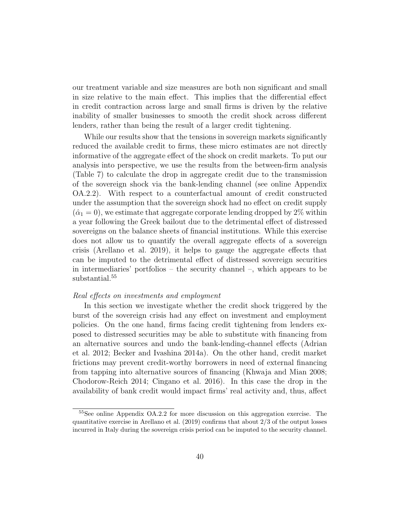our treatment variable and size measures are both non significant and small in size relative to the main effect. This implies that the differential effect in credit contraction across large and small firms is driven by the relative inability of smaller businesses to smooth the credit shock across different lenders, rather than being the result of a larger credit tightening.

While our results show that the tensions in sovereign markets significantly reduced the available credit to firms, these micro estimates are not directly informative of the aggregate effect of the shock on credit markets. To put our analysis into perspective, we use the results from the between-firm analysis (Table 7) to calculate the drop in aggregate credit due to the transmission of the sovereign shock via the bank-lending channel (see online Appendix OA.2.2). With respect to a counterfactual amount of credit constructed under the assumption that the sovereign shock had no effect on credit supply  $(\hat{\alpha}_1 = 0)$ , we estimate that aggregate corporate lending dropped by 2\% within a year following the Greek bailout due to the detrimental effect of distressed sovereigns on the balance sheets of financial institutions. While this exercise does not allow us to quantify the overall aggregate effects of a sovereign crisis (Arellano et al. 2019), it helps to gauge the aggregate effects that can be imputed to the detrimental effect of distressed sovereign securities in intermediaries' portfolios – the security channel –, which appears to be substantial.<sup>55</sup>

### Real effects on investments and employment

In this section we investigate whether the credit shock triggered by the burst of the sovereign crisis had any effect on investment and employment policies. On the one hand, firms facing credit tightening from lenders exposed to distressed securities may be able to substitute with financing from an alternative sources and undo the bank-lending-channel effects (Adrian et al. 2012; Becker and Ivashina 2014a). On the other hand, credit market frictions may prevent credit-worthy borrowers in need of external financing from tapping into alternative sources of financing (Khwaja and Mian 2008; Chodorow-Reich 2014; Cingano et al. 2016). In this case the drop in the availability of bank credit would impact firms' real activity and, thus, affect

<sup>55</sup>See online Appendix OA.2.2 for more discussion on this aggregation exercise. The quantitative exercise in Arellano et al.  $(2019)$  confirms that about  $2/3$  of the output losses incurred in Italy during the sovereign crisis period can be imputed to the security channel.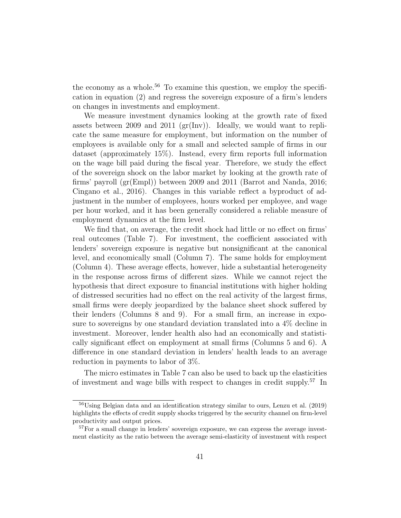the economy as a whole.<sup>56</sup> To examine this question, we employ the specification in equation (2) and regress the sovereign exposure of a firm's lenders on changes in investments and employment.

We measure investment dynamics looking at the growth rate of fixed assets between 2009 and 2011  $gr(Inv)$ . Ideally, we would want to replicate the same measure for employment, but information on the number of employees is available only for a small and selected sample of firms in our dataset (approximately 15%). Instead, every firm reports full information on the wage bill paid during the fiscal year. Therefore, we study the effect of the sovereign shock on the labor market by looking at the growth rate of firms' payroll (gr(Empl)) between 2009 and 2011 (Barrot and Nanda, 2016; Cingano et al., 2016). Changes in this variable reflect a byproduct of adjustment in the number of employees, hours worked per employee, and wage per hour worked, and it has been generally considered a reliable measure of employment dynamics at the firm level.

We find that, on average, the credit shock had little or no effect on firms' real outcomes (Table 7). For investment, the coefficient associated with lenders' sovereign exposure is negative but nonsignificant at the canonical level, and economically small (Column 7). The same holds for employment (Column 4). These average effects, however, hide a substantial heterogeneity in the response across firms of different sizes. While we cannot reject the hypothesis that direct exposure to financial institutions with higher holding of distressed securities had no effect on the real activity of the largest firms, small firms were deeply jeopardized by the balance sheet shock suffered by their lenders (Columns 8 and 9). For a small firm, an increase in exposure to sovereigns by one standard deviation translated into a 4% decline in investment. Moreover, lender health also had an economically and statistically significant effect on employment at small firms (Columns 5 and 6). A difference in one standard deviation in lenders' health leads to an average reduction in payments to labor of 3%.

The micro estimates in Table 7 can also be used to back up the elasticities of investment and wage bills with respect to changes in credit supply.<sup>57</sup> In

<sup>&</sup>lt;sup>56</sup>Using Belgian data and an identification strategy similar to ours, Lenzu et al. (2019) highlights the effects of credit supply shocks triggered by the security channel on firm-level productivity and output prices.

<sup>&</sup>lt;sup>57</sup>For a small change in lenders' sovereign exposure, we can express the average investment elasticity as the ratio between the average semi-elasticity of investment with respect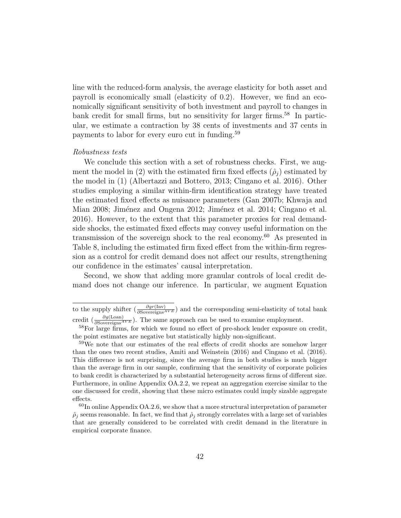line with the reduced-form analysis, the average elasticity for both asset and payroll is economically small (elasticity of 0.2). However, we find an economically significant sensitivity of both investment and payroll to changes in bank credit for small firms, but no sensitivity for larger firms.<sup>58</sup> In particular, we estimate a contraction by 38 cents of investments and 37 cents in payments to labor for every euro cut in funding.<sup>59</sup>

### Robustness tests

We conclude this section with a set of robustness checks. First, we augment the model in (2) with the estimated firm fixed effects  $(\hat{\rho}_i)$  estimated by the model in (1) (Albertazzi and Bottero, 2013; Cingano et al. 2016). Other studies employing a similar within-firm identification strategy have treated the estimated fixed effects as nuisance parameters (Gan 2007b; Khwaja and Mian 2008; Jiménez and Ongena 2012; Jiménez et al. 2014; Cingano et al. 2016). However, to the extent that this parameter proxies for real demandside shocks, the estimated fixed effects may convey useful information on the transmission of the sovereign shock to the real economy.<sup>60</sup> As presented in Table 8, including the estimated firm fixed effect from the within-firm regression as a control for credit demand does not affect our results, strengthening our confidence in the estimates' causal interpretation.

Second, we show that adding more granular controls of local credit demand does not change our inference. In particular, we augment Equation

to the supply shifter  $(\frac{\partial gr(\text{Inv})}{\partial \text{Sovereigns}^{AVE}})$  and the corresponding semi-elasticity of total bank credit  $\left(\frac{\partial g(\text{L}^{\text{on}})}{\partial \text{Sovereigns}^{AVE}}\right)$ . The same approach can be used to examine employment.

<sup>&</sup>lt;sup>58</sup>For large firms, for which we found no effect of pre-shock lender exposure on credit, the point estimates are negative but statistically highly non-significant.

<sup>&</sup>lt;sup>59</sup>We note that our estimates of the real effects of credit shocks are somehow larger than the ones two recent studies, Amiti and Weinstein (2016) and Cingano et al. (2016). This difference is not surprising, since the average firm in both studies is much bigger than the average firm in our sample, confirming that the sensitivity of corporate policies to bank credit is characterized by a substantial heterogeneity across firms of different size. Furthermore, in online Appendix OA.2.2, we repeat an aggregation exercise similar to the one discussed for credit, showing that these micro estimates could imply sizable aggregate effects.

 $60$ In online Appendix OA.2.6, we show that a more structural interpretation of parameter  $\hat{\rho}_i$  seems reasonable. In fact, we find that  $\hat{\rho}_i$  strongly correlates with a large set of variables that are generally considered to be correlated with credit demand in the literature in empirical corporate finance.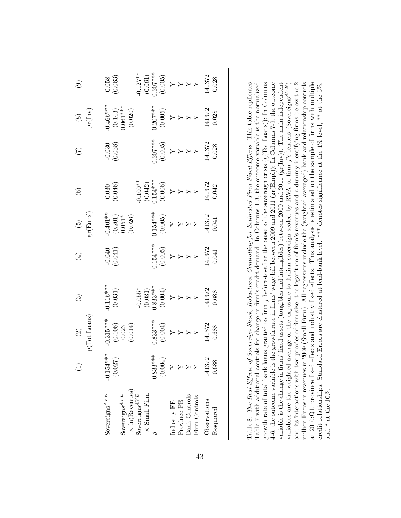| $\left( \begin{matrix} 0 \\ 0 \end{matrix} \right)$                | $\begin{array}{l} 0.127^{**} \\ (0.061) \\ (0.065) \\ (0.005) \\ (0.005) \\ Y \\ Y \\ Y \\ Y \\ 141372 \\ 141372 \\ 141372 \\ \end{array}$<br>$\begin{array}{c} 0.058 \\ (0.063) \end{array}$                  |
|--------------------------------------------------------------------|----------------------------------------------------------------------------------------------------------------------------------------------------------------------------------------------------------------|
| $\begin{array}{c} \text{(8)} \\ \text{gr}(\text{Inv}) \end{array}$ | $-0.466***$<br>(0.143)<br>(0.061 ***<br>0.020)<br>$\begin{array}{l} 0.207^{***} \\ (0.005) \\ Y \\ Y \\ Y \\ Y \\ Y \\ 141372 \\ 0.028 \\ \end{array}$                                                         |
| $\widetilde{C}$                                                    | $\begin{array}{l} 0.207^{***} \\ (0.005) \\ Y \\ Y \\ Y \\ Y \\ 141372 \\ 0.028 \\ \end{array}$<br>$-0.030$<br>(0.038)                                                                                         |
| $\circledcirc$                                                     | -0.100**<br>(0.042)<br>(0.006)<br>(0.006)<br>Y<br>Y<br>Y<br>H1372<br>H1372<br>H1372<br>$(0.030)$<br>(0.046)                                                                                                    |
| $\begin{pmatrix} 5 \end{pmatrix}$ gr $(\text{Empl})$               | $\begin{array}{c} 0.154^{***} \\ (0.005) \\ Y \\ Y \\ Y \\ Y \\ Y \\ 141372 \\ 0.041 \\ \end{array}$<br>$\begin{array}{l} -0.401** \\ (0.201) \\ 0.051* \\ (0.026) \end{array}$                                |
| $(\pm)$                                                            | $\begin{array}{l} 0.154^{***} \\ (0.005) \\ (0.005) \\ Y \\ Y \\ Y \\ Y \\ 141372 \\ 141372 \\ 0.041 \\ \end{array}$<br>$(0.041)$<br>(0.041)                                                                   |
| $\widehat{\mathfrak{S}}$                                           | $\begin{array}{l} -0.055^{*} \\ (0.031) \\ (0.033^{***} \\ (0.004) \\ (0.004) \\ Y \\ Y \\ Y \\ 141372 \\ 141372 \\ 141372 \\ 0.688 \\ \end{array}$<br>$0.116***$<br>(0.031)                                   |
| $$\rm \, (2)$$ $$\rm \, g(Tot\; Loans)$$                           | $0.315***$<br>(0.106)<br>(0.023<br>(0.014)<br>$\begin{array}{l} 0.833**\\ (0.004)\\ (0.004)\\ Y\\ Y\\ Y\\ Y\\ Y\\ Y\\ Y\\ Y\\ 141372\\ 0.688\\ 0.688 \end{array}$                                              |
|                                                                    | $-0.154***$<br>(0.027)<br>$0.833***$<br>(0.004)<br>141372<br>0.688                                                                                                                                             |
|                                                                    | $\times$ ln(Revenues)<br>Sovereigns $^{AVE}$<br>Sovereigns $^{AVE}$<br>Sovereigns $^{AVE}$<br>$\times$ Small Firm<br>Bank Controls<br>Firm Controls<br>Observations<br>Province FE<br>Industry FE<br>R-squared |

| Table 8: The Real Effects of Sovereign Shock, Robustness Controlling for Estimated Firm Fixed Effects. This table replicates<br>Table 7 with additional controls for change in firm's credit demand. In Columns 1-3, the outcome variable is the normalized |
|-------------------------------------------------------------------------------------------------------------------------------------------------------------------------------------------------------------------------------------------------------------|
| growth rate of total bank loans granted to firm j before-to-after the onset of the sovereign crisis $(g(Tot Loans))$ ; In Columns                                                                                                                           |
| 4-6, the outcome variable is the growth rate in firms' wage bill between 2009 and 2011 ( $gr(Empl)$ ); In Columns 7-9, the outcome                                                                                                                          |
| variable is the change in firms' fixed assets (tangibles and intangibles) between 2009 and 2011 ( $gr(Inv)$ ). The main independent                                                                                                                         |
| variables are the weighted average of the exposure to Italian sovereign scaled by RWA of firm $j$ 's lenders (Sovereigns <sup>AVE</sup> )                                                                                                                   |
| and its interactions with two proxies of firm size: the logarithm of firm's revenues and a dummy identifying firms below the $2$                                                                                                                            |
| million Euros in revenues in 2009 (Small Firm). All regressions include the (weighted averaged) bank and relationship controls                                                                                                                              |
| at 2010:Q1, province fixed effects and industry fixed effects. This analysis is estimated on the sample of firms with multiple                                                                                                                              |
| credit relationships. Standard Errors are clustered at lead-bank level. *** denotes significance at the 1% level, ** at the 5%,                                                                                                                             |
| and $*$ at the 10%.                                                                                                                                                                                                                                         |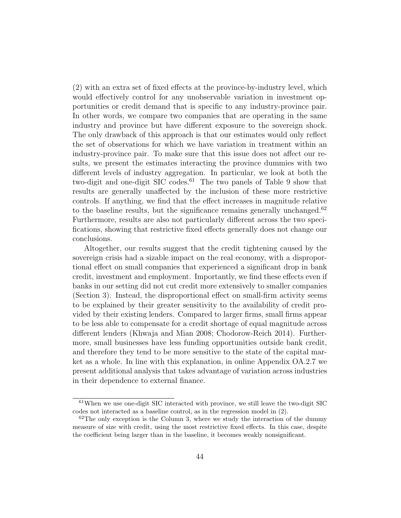(2) with an extra set of fixed effects at the province-by-industry level, which would effectively control for any unobservable variation in investment opportunities or credit demand that is specific to any industry-province pair. In other words, we compare two companies that are operating in the same industry and province but have different exposure to the sovereign shock. The only drawback of this approach is that our estimates would only reflect the set of observations for which we have variation in treatment within an industry-province pair. To make sure that this issue does not affect our results, we present the estimates interacting the province dummies with two different levels of industry aggregation. In particular, we look at both the two-digit and one-digit SIC codes.<sup>61</sup> The two panels of Table 9 show that results are generally unaffected by the inclusion of these more restrictive controls. If anything, we find that the effect increases in magnitude relative to the baseline results, but the significance remains generally unchanged.<sup>62</sup> Furthermore, results are also not particularly different across the two specifications, showing that restrictive fixed effects generally does not change our conclusions.

Altogether, our results suggest that the credit tightening caused by the sovereign crisis had a sizable impact on the real economy, with a disproportional effect on small companies that experienced a significant drop in bank credit, investment and employment. Importantly, we find these effects even if banks in our setting did not cut credit more extensively to smaller companies (Section 3). Instead, the disproportional effect on small-firm activity seems to be explained by their greater sensitivity to the availability of credit provided by their existing lenders. Compared to larger firms, small firms appear to be less able to compensate for a credit shortage of equal magnitude across different lenders (Khwaja and Mian 2008; Chodorow-Reich 2014). Furthermore, small businesses have less funding opportunities outside bank credit, and therefore they tend to be more sensitive to the state of the capital market as a whole. In line with this explanation, in online Appendix OA.2.7 we present additional analysis that takes advantage of variation across industries in their dependence to external finance.

<sup>61</sup>When we use one-digit SIC interacted with province, we still leave the two-digit SIC codes not interacted as a baseline control, as in the regression model in (2).

 $62$ The only exception is the Column 3, where we study the interaction of the dummy measure of size with credit, using the most restrictive fixed effects. In this case, despite the coefficient being larger than in the baseline, it becomes weakly nonsignificant.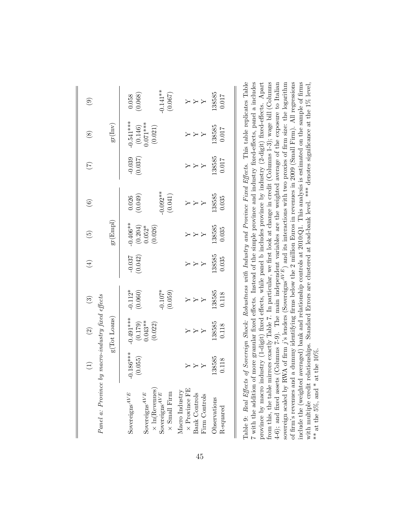| $-0.141**$<br>(0.067)<br>138585<br>0.017<br>$\begin{array}{c} 0.058 \\ (0.068) \end{array}$<br>$\mathcal{A} \prec \mathcal{A}$<br>$-0.541***$<br>(0.146)<br>0.071***<br>(0.021)<br>$gr(\mbox{Inv})$<br>138585<br>0.017<br>$\mathcal{A} \prec \mathcal{A}$<br>138585<br>0.017<br>(0.037)<br>$\rightarrow$ $\rightarrow$<br>$-0.092**$<br>(0.041)<br>138585<br>$\begin{array}{c} 0.026 \\ (0.049) \end{array}$<br>0.035<br>$\overline{r}$ $\overline{r}$<br>$gr({\rm Empl})$<br>$-0.406**$<br>$(0.204)$<br>$0.052*$<br>$(0.026)$<br>138585<br>0.035<br>$X \times X$<br>138585<br>0.035<br>$-0.037$<br>(0.042)<br>$\overline{X}$ $\overline{X}$<br>$-0.112*$<br>(0.060)<br>(0.059)<br>138585<br>0.118<br>(1) $(3)$<br>y macro-industry fixed effects<br>$\rightarrow \rightarrow \rightarrow$<br>$g(Tot$ Loans)<br>$-0.491***$<br>(0.179)<br>0.043**<br>0.022)<br>138585<br>0.118<br>$\rightarrow \rightarrow \rightarrow$<br>$0.186***$<br>138585<br>0.118<br>(0.055)<br>$\rightarrow$ $\rightarrow$<br>Panel a: Province I<br>$\times$ ln(Revenues)<br>$\times$ Province FE<br>Macro Industry<br>Sovereigns $^{AVE}$<br>$\times$ Small Firm<br>Sovereigns $^{AVE}$<br>Sovereigns $^{AVE}$<br>Bank Controls<br>Firm Controls<br>Observations<br>R-squared |  |  | $\bigoplus$ | $\left(5\right)$ | $\odot$ | $\widetilde{C}$ | $\circledast$ | $\circledcirc$ |
|---------------------------------------------------------------------------------------------------------------------------------------------------------------------------------------------------------------------------------------------------------------------------------------------------------------------------------------------------------------------------------------------------------------------------------------------------------------------------------------------------------------------------------------------------------------------------------------------------------------------------------------------------------------------------------------------------------------------------------------------------------------------------------------------------------------------------------------------------------------------------------------------------------------------------------------------------------------------------------------------------------------------------------------------------------------------------------------------------------------------------------------------------------------------------------------------------------------------------------------------------------|--|--|-------------|------------------|---------|-----------------|---------------|----------------|
|                                                                                                                                                                                                                                                                                                                                                                                                                                                                                                                                                                                                                                                                                                                                                                                                                                                                                                                                                                                                                                                                                                                                                                                                                                                         |  |  |             |                  |         |                 |               |                |
|                                                                                                                                                                                                                                                                                                                                                                                                                                                                                                                                                                                                                                                                                                                                                                                                                                                                                                                                                                                                                                                                                                                                                                                                                                                         |  |  |             |                  |         |                 |               |                |
|                                                                                                                                                                                                                                                                                                                                                                                                                                                                                                                                                                                                                                                                                                                                                                                                                                                                                                                                                                                                                                                                                                                                                                                                                                                         |  |  |             |                  |         |                 |               |                |
|                                                                                                                                                                                                                                                                                                                                                                                                                                                                                                                                                                                                                                                                                                                                                                                                                                                                                                                                                                                                                                                                                                                                                                                                                                                         |  |  |             |                  |         |                 |               |                |
|                                                                                                                                                                                                                                                                                                                                                                                                                                                                                                                                                                                                                                                                                                                                                                                                                                                                                                                                                                                                                                                                                                                                                                                                                                                         |  |  |             |                  |         |                 |               |                |
|                                                                                                                                                                                                                                                                                                                                                                                                                                                                                                                                                                                                                                                                                                                                                                                                                                                                                                                                                                                                                                                                                                                                                                                                                                                         |  |  |             |                  |         |                 |               |                |
|                                                                                                                                                                                                                                                                                                                                                                                                                                                                                                                                                                                                                                                                                                                                                                                                                                                                                                                                                                                                                                                                                                                                                                                                                                                         |  |  |             |                  |         |                 |               |                |
|                                                                                                                                                                                                                                                                                                                                                                                                                                                                                                                                                                                                                                                                                                                                                                                                                                                                                                                                                                                                                                                                                                                                                                                                                                                         |  |  |             |                  |         |                 |               |                |
|                                                                                                                                                                                                                                                                                                                                                                                                                                                                                                                                                                                                                                                                                                                                                                                                                                                                                                                                                                                                                                                                                                                                                                                                                                                         |  |  |             |                  |         |                 |               |                |
|                                                                                                                                                                                                                                                                                                                                                                                                                                                                                                                                                                                                                                                                                                                                                                                                                                                                                                                                                                                                                                                                                                                                                                                                                                                         |  |  |             |                  |         |                 |               |                |

Table 9: Real Effects of Sovereign Shock: Robustness with Industry and Province Fixed Effects. This table replicates Table from this, the table mirrors exactly Table 7. In particular, we first look at change in credit (Columns 1-3); wage bill (Columns sovereign scaled by RWA of firm  $j$ 's lenders (Sovereigns<sup> $AVE$ </sup>) and its interactions with two proxies of firm size: the logarithm of firm's revenues and a dummy identifying firms below the 2 million Euros in revenues in 2009 (Small Firm). All regressions nclude the (weighted averaged) bank and relationship controls at 2010:Q1. This analysis is estimated on the sample of firms Table 9: Real Effects of Sovereign Shock: Robustness with Industry and Province Fixed Effects. This table replicates Table 7 with the addition of more granular fixed effects. Instead of the simple province and industry fixed-effects, panel a includes 7 with the addition of more granular fixed effects. Instead of the simple province and industry fixed-effects, panel a includes province by macro industry (1-digit) fixed effects, while panel b includes province by industry (2-digit) fixed-effects. Apart from this, the table mirrors exactly Table 7. In particular, we first look at change in credit (Columns 1-3); wage bill (Columns 4-6); and fixed assets (Columns 7-9). The main independent variables are the weighted average of the exposure to Italian 4-6); and fixed assets (Columns 7-9). The main independent variables are the weighted average of the exposure to Italian sovereign scaled by RWA of firm j's lenders (Sovereigns<sup>AVE)</sup> and its interactions with two proxies of firm size: the logarithm of firm's revenues and a dummy identifying firms below the 2 million Euros in revenues in 2009 (Small Firm). All regressions include the (weighted averaged) bank and relationship controls at 2010:Q1. This analysis is estimated on the sample of firms with multiple credit relationships. Standard Errors are clustered at lead-bank level. \*\*\* denotes significance at the 1% level, province by macro industry (1-digit) fixed effects, while panel b includes province by industry (2-digit) fixed-effects. Apart with multiple credit relationships. Standard Errors are clustered at lead-bank level. \*\*\* denotes significance at the 1% level, \*\* at the 5%, and \* at the 10%. \*\* at the 5%, and \* at the  $10\%$ .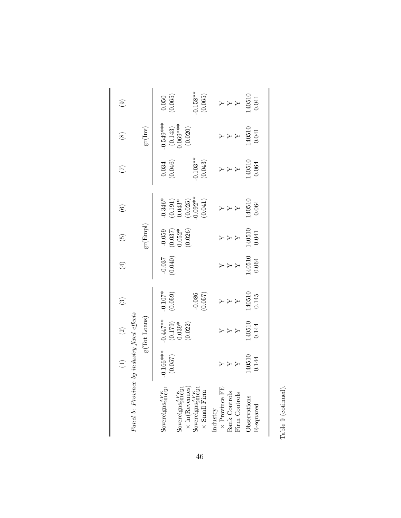| Panel b: Province                                                            | $(2)$ $\cdot$ by industry fixed effects<br>$\rm g(T\gamma\gamma)$                 |                                                           | $\widehat{S}$                                                                   | $\tag{4}$           | $\widehat{\mathfrak{g}}$                                                                                                                                                                                                                                                                                                                                                                                                                                  | $\odot$                                                            | $\widehat{C}$                                   | $\circledast$                                                       | $\circledcirc$                                                                                                                                                                                                                                                                                                                                                                                                                                            |
|------------------------------------------------------------------------------|-----------------------------------------------------------------------------------|-----------------------------------------------------------|---------------------------------------------------------------------------------|---------------------|-----------------------------------------------------------------------------------------------------------------------------------------------------------------------------------------------------------------------------------------------------------------------------------------------------------------------------------------------------------------------------------------------------------------------------------------------------------|--------------------------------------------------------------------|-------------------------------------------------|---------------------------------------------------------------------|-----------------------------------------------------------------------------------------------------------------------------------------------------------------------------------------------------------------------------------------------------------------------------------------------------------------------------------------------------------------------------------------------------------------------------------------------------------|
|                                                                              |                                                                                   |                                                           |                                                                                 |                     | $\operatorname{gr}(\operatorname{Empl})$                                                                                                                                                                                                                                                                                                                                                                                                                  |                                                                    |                                                 | $gr(\mbox{Inv})$                                                    |                                                                                                                                                                                                                                                                                                                                                                                                                                                           |
| Sovereigns $_{2010Q1}^{AVE}$<br>Sovereigns $_{2010Q1}^{AVE}$                 | $-0.166***$<br>(0.057)                                                            | $-0.447**$<br>$(0.179)$<br>$0.039*$<br>$(0.022)$          | $-0.107*$<br>(0.059)                                                            | $-0.037$<br>(0.040) | $\begin{array}{c} -0.059 \\ (0.037) \\ 0.052^* \\ (0.026) \end{array}$                                                                                                                                                                                                                                                                                                                                                                                    | $-0.346*$<br>$(0.191)$<br>$0.043*$<br>$(0.025)$<br>$(0.025)$       | $\begin{array}{c} 0.034 \\ (0.046) \end{array}$ | $0.549***$<br>(0.143)<br>0.069***<br>0.020)                         | $(0.050)$<br>(0.065)                                                                                                                                                                                                                                                                                                                                                                                                                                      |
| $\times$ ln(Revenues)<br>Sovereigns<br>$_{2010Q1}^{AVE}$ $\times$ Small Firm |                                                                                   |                                                           | (0.086)                                                                         |                     |                                                                                                                                                                                                                                                                                                                                                                                                                                                           | (0.041)                                                            | $-0.103**$<br>(0.043)                           |                                                                     | $-0.158**$<br>(0.065)                                                                                                                                                                                                                                                                                                                                                                                                                                     |
| $\times$ Province FE<br>Bank Controls<br>Firm Controls<br>Industry           | $140500$ 0130<br>0130<br>A<br>X<br>X<br>X<br>X<br>X<br>X<br>X<br>X<br>X<br>X<br>x | $\begin{array}{c} 140510 \\ 140510 \\ \hline \end{array}$ | $\begin{array}{c}\nY \\ Y \\ Y \\ Y \\ Y \\ Y \\ Y \\ Y \\ Y \\ Y\n\end{array}$ | $140510$<br>0.064   | $\begin{array}{c} 1700 \\ \text{N} \\ \text{N} \\ \text{N} \\ \text{N} \\ \text{N} \\ \text{N} \\ \text{N} \\ \text{N} \\ \text{N} \\ \text{N} \\ \text{N} \\ \text{N} \\ \text{N} \\ \text{N} \\ \text{N} \\ \text{N} \\ \text{N} \\ \text{N} \\ \text{N} \\ \text{N} \\ \text{N} \\ \text{N} \\ \text{N} \\ \text{N} \\ \text{N} \\ \text{N} \\ \text{N} \\ \text{N} \\ \text{N} \\ \text{N} \\ \text{N} \\ \text{N} \\ \text{N} \\ \text{N} \\ \text{$ | $\begin{array}{c} Y \\ Y \\ Y \\ Y \\ 140510 \\ 0.064 \end{array}$ | $140510$<br>0.064<br>0.064                      | $\begin{array}{c} Y \\ Y \\ Y \\ Y \\ Y \\ Y \\ Y \\ Y \end{array}$ | $\begin{array}{c} 1700 \\ \text{N} \\ \text{N} \\ \text{N} \\ \text{N} \\ \text{N} \\ \text{N} \\ \text{N} \\ \text{N} \\ \text{N} \\ \text{N} \\ \text{N} \\ \text{N} \\ \text{N} \\ \text{N} \\ \text{N} \\ \text{N} \\ \text{N} \\ \text{N} \\ \text{N} \\ \text{N} \\ \text{N} \\ \text{N} \\ \text{N} \\ \text{N} \\ \text{N} \\ \text{N} \\ \text{N} \\ \text{N} \\ \text{N} \\ \text{N} \\ \text{N} \\ \text{N} \\ \text{N} \\ \text{N} \\ \text{$ |
| Observations<br>R-squared                                                    |                                                                                   |                                                           |                                                                                 |                     |                                                                                                                                                                                                                                                                                                                                                                                                                                                           |                                                                    |                                                 |                                                                     |                                                                                                                                                                                                                                                                                                                                                                                                                                                           |

Table  $9$  (cotinued). Table 9 (cotinued).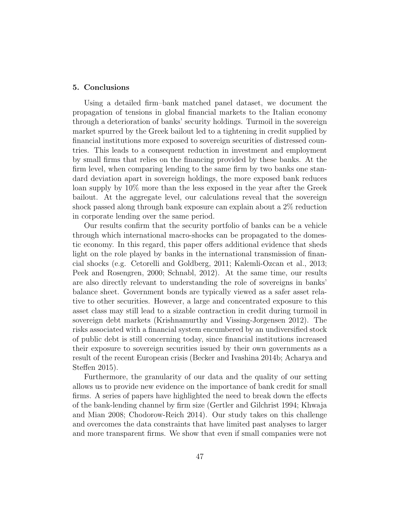### 5. Conclusions

Using a detailed firm–bank matched panel dataset, we document the propagation of tensions in global financial markets to the Italian economy through a deterioration of banks' security holdings. Turmoil in the sovereign market spurred by the Greek bailout led to a tightening in credit supplied by financial institutions more exposed to sovereign securities of distressed countries. This leads to a consequent reduction in investment and employment by small firms that relies on the financing provided by these banks. At the firm level, when comparing lending to the same firm by two banks one standard deviation apart in sovereign holdings, the more exposed bank reduces loan supply by 10% more than the less exposed in the year after the Greek bailout. At the aggregate level, our calculations reveal that the sovereign shock passed along through bank exposure can explain about a 2% reduction in corporate lending over the same period.

Our results confirm that the security portfolio of banks can be a vehicle through which international macro-shocks can be propagated to the domestic economy. In this regard, this paper offers additional evidence that sheds light on the role played by banks in the international transmission of financial shocks (e.g. Cetorelli and Goldberg, 2011; Kalemli-Ozcan et al., 2013; Peek and Rosengren, 2000; Schnabl, 2012). At the same time, our results are also directly relevant to understanding the role of sovereigns in banks' balance sheet. Government bonds are typically viewed as a safer asset relative to other securities. However, a large and concentrated exposure to this asset class may still lead to a sizable contraction in credit during turmoil in sovereign debt markets (Krishnamurthy and Vissing-Jorgensen 2012). The risks associated with a financial system encumbered by an undiversified stock of public debt is still concerning today, since financial institutions increased their exposure to sovereign securities issued by their own governments as a result of the recent European crisis (Becker and Ivashina 2014b; Acharya and Steffen 2015).

Furthermore, the granularity of our data and the quality of our setting allows us to provide new evidence on the importance of bank credit for small firms. A series of papers have highlighted the need to break down the effects of the bank-lending channel by firm size (Gertler and Gilchrist 1994; Khwaja and Mian 2008; Chodorow-Reich 2014). Our study takes on this challenge and overcomes the data constraints that have limited past analyses to larger and more transparent firms. We show that even if small companies were not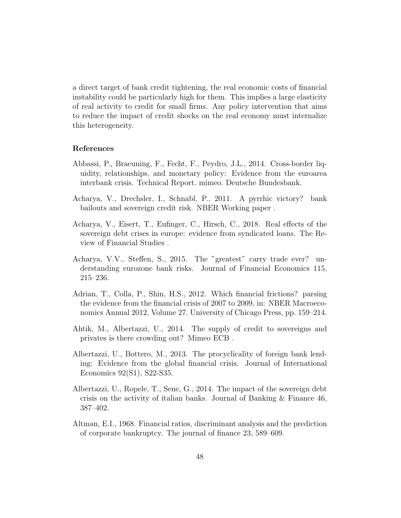a direct target of bank credit tightening, the real economic costs of financial instability could be particularly high for them. This implies a large elasticity of real activity to credit for small firms. Any policy intervention that aims to reduce the impact of credit shocks on the real economy must internalize this heterogeneity.

### References

- Abbassi, P., Braeuning, F., Fecht, F., Peydro, J.L., 2014. Cross-border liquidity, relationships, and monetary policy: Evidence from the euroarea interbank crisis. Technical Report. mimeo. Deutsche Bundesbank.
- Acharya, V., Drechsler, I., Schnabl, P., 2011. A pyrrhic victory? bank bailouts and sovereign credit risk. NBER Working paper .
- Acharya, V., Eisert, T., Eufinger, C., Hirsch, C., 2018. Real effects of the sovereign debt crises in europe: evidence from syndicated loans. The Review of Financial Studies .
- Acharya, V.V., Steffen, S., 2015. The "greatest" carry trade ever? understanding eurozone bank risks. Journal of Financial Economics 115, 215–236.
- Adrian, T., Colla, P., Shin, H.S., 2012. Which financial frictions? parsing the evidence from the financial crisis of 2007 to 2009, in: NBER Macroeconomics Annual 2012, Volume 27. University of Chicago Press, pp. 159–214.
- Ahtik, M., Albertazzi, U., 2014. The supply of credit to sovereigns and privates is there crowding out? Mimeo ECB .
- Albertazzi, U., Bottero, M., 2013. The procyclicality of foreign bank lending: Evidence from the global financial crisis. Journal of International Economics 92(S1), S22-S35.
- Albertazzi, U., Ropele, T., Sene, G., 2014. The impact of the sovereign debt crisis on the activity of italian banks. Journal of Banking  $\&$  Finance 46, 387–402.
- Altman, E.I., 1968. Financial ratios, discriminant analysis and the prediction of corporate bankruptcy. The journal of finance 23, 589–609.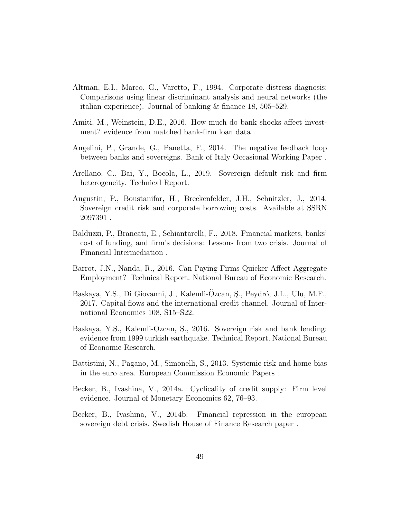- Altman, E.I., Marco, G., Varetto, F., 1994. Corporate distress diagnosis: Comparisons using linear discriminant analysis and neural networks (the italian experience). Journal of banking & finance 18, 505–529.
- Amiti, M., Weinstein, D.E., 2016. How much do bank shocks affect investment? evidence from matched bank-firm loan data .
- Angelini, P., Grande, G., Panetta, F., 2014. The negative feedback loop between banks and sovereigns. Bank of Italy Occasional Working Paper .
- Arellano, C., Bai, Y., Bocola, L., 2019. Sovereign default risk and firm heterogeneity. Technical Report.
- Augustin, P., Boustanifar, H., Breckenfelder, J.H., Schnitzler, J., 2014. Sovereign credit risk and corporate borrowing costs. Available at SSRN 2097391 .
- Balduzzi, P., Brancati, E., Schiantarelli, F., 2018. Financial markets, banks' cost of funding, and firm's decisions: Lessons from two crisis. Journal of Financial Intermediation .
- Barrot, J.N., Nanda, R., 2016. Can Paying Firms Quicker Affect Aggregate Employment? Technical Report. National Bureau of Economic Research.
- Baskaya, Y.S., Di Giovanni, J., Kalemli-Ozcan, Ş., Peydró, J.L., Ulu, M.F., 2017. Capital flows and the international credit channel. Journal of International Economics 108, S15–S22.
- Baskaya, Y.S., Kalemli-Ozcan, S., 2016. Sovereign risk and bank lending: evidence from 1999 turkish earthquake. Technical Report. National Bureau of Economic Research.
- Battistini, N., Pagano, M., Simonelli, S., 2013. Systemic risk and home bias in the euro area. European Commission Economic Papers .
- Becker, B., Ivashina, V., 2014a. Cyclicality of credit supply: Firm level evidence. Journal of Monetary Economics 62, 76–93.
- Becker, B., Ivashina, V., 2014b. Financial repression in the european sovereign debt crisis. Swedish House of Finance Research paper .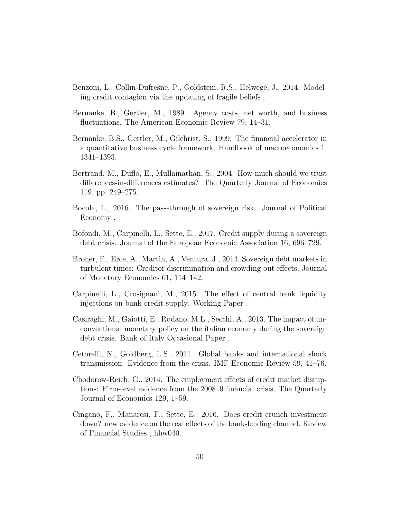- Benzoni, L., Collin-Dufresne, P., Goldstein, R.S., Helwege, J., 2014. Modeling credit contagion via the updating of fragile beliefs .
- Bernanke, B., Gertler, M., 1989. Agency costs, net worth, and business fluctuations. The American Economic Review 79, 14–31.
- Bernanke, B.S., Gertler, M., Gilchrist, S., 1999. The financial accelerator in a quantitative business cycle framework. Handbook of macroeconomics 1, 1341–1393.
- Bertrand, M., Duflo, E., Mullainathan, S., 2004. How much should we trust differences-in-differences estimates? The Quarterly Journal of Economics 119, pp. 249–275.
- Bocola, L., 2016. The pass-through of sovereign risk. Journal of Political Economy .
- Bofondi, M., Carpinelli, L., Sette, E., 2017. Credit supply during a sovereign debt crisis. Journal of the European Economic Association 16, 696–729.
- Broner, F., Erce, A., Martin, A., Ventura, J., 2014. Sovereign debt markets in turbulent times: Creditor discrimination and crowding-out effects. Journal of Monetary Economics 61, 114–142.
- Carpinelli, L., Crosignani, M., 2015. The effect of central bank liquidity injections on bank credit supply. Working Paper .
- Casiraghi, M., Gaiotti, E., Rodano, M.L., Secchi, A., 2013. The impact of unconventional monetary policy on the italian economy during the sovereign debt crisis. Bank of Italy Occasional Paper .
- Cetorelli, N., Goldberg, L.S., 2011. Global banks and international shock transmission: Evidence from the crisis. IMF Economic Review 59, 41–76.
- Chodorow-Reich, G., 2014. The employment effects of credit market disruptions: Firm-level evidence from the 2008–9 financial crisis. The Quarterly Journal of Economics 129, 1–59.
- Cingano, F., Manaresi, F., Sette, E., 2016. Does credit crunch investment down? new evidence on the real effects of the bank-lending channel. Review of Financial Studies , hhw040.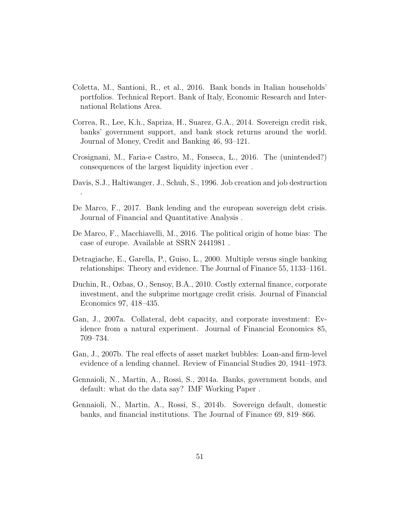- Coletta, M., Santioni, R., et al., 2016. Bank bonds in Italian households' portfolios. Technical Report. Bank of Italy, Economic Research and International Relations Area.
- Correa, R., Lee, K.h., Sapriza, H., Suarez, G.A., 2014. Sovereign credit risk, banks' government support, and bank stock returns around the world. Journal of Money, Credit and Banking 46, 93–121.
- Crosignani, M., Faria-e Castro, M., Fonseca, L., 2016. The (unintended?) consequences of the largest liquidity injection ever .
- Davis, S.J., Haltiwanger, J., Schuh, S., 1996. Job creation and job destruction

.

- De Marco, F., 2017. Bank lending and the european sovereign debt crisis. Journal of Financial and Quantitative Analysis .
- De Marco, F., Macchiavelli, M., 2016. The political origin of home bias: The case of europe. Available at SSRN 2441981 .
- Detragiache, E., Garella, P., Guiso, L., 2000. Multiple versus single banking relationships: Theory and evidence. The Journal of Finance 55, 1133–1161.
- Duchin, R., Ozbas, O., Sensoy, B.A., 2010. Costly external finance, corporate investment, and the subprime mortgage credit crisis. Journal of Financial Economics 97, 418–435.
- Gan, J., 2007a. Collateral, debt capacity, and corporate investment: Evidence from a natural experiment. Journal of Financial Economics 85, 709–734.
- Gan, J., 2007b. The real effects of asset market bubbles: Loan-and firm-level evidence of a lending channel. Review of Financial Studies 20, 1941–1973.
- Gennaioli, N., Martin, A., Rossi, S., 2014a. Banks, government bonds, and default: what do the data say? IMF Working Paper .
- Gennaioli, N., Martin, A., Rossi, S., 2014b. Sovereign default, domestic banks, and financial institutions. The Journal of Finance 69, 819–866.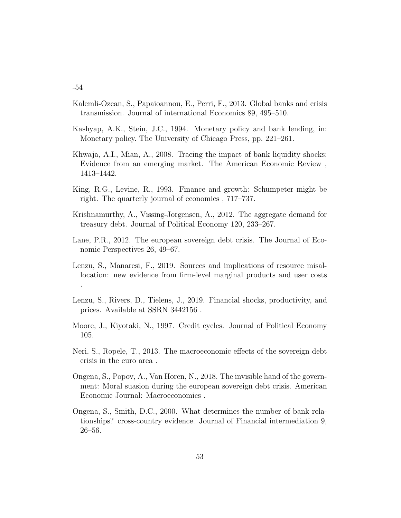- Kalemli-Ozcan, S., Papaioannou, E., Perri, F., 2013. Global banks and crisis transmission. Journal of international Economics 89, 495–510.
- Kashyap, A.K., Stein, J.C., 1994. Monetary policy and bank lending, in: Monetary policy. The University of Chicago Press, pp. 221–261.
- Khwaja, A.I., Mian, A., 2008. Tracing the impact of bank liquidity shocks: Evidence from an emerging market. The American Economic Review , 1413–1442.
- King, R.G., Levine, R., 1993. Finance and growth: Schumpeter might be right. The quarterly journal of economics , 717–737.
- Krishnamurthy, A., Vissing-Jorgensen, A., 2012. The aggregate demand for treasury debt. Journal of Political Economy 120, 233–267.
- Lane, P.R., 2012. The european sovereign debt crisis. The Journal of Economic Perspectives 26, 49–67.
- Lenzu, S., Manaresi, F., 2019. Sources and implications of resource misallocation: new evidence from firm-level marginal products and user costs .
- Lenzu, S., Rivers, D., Tielens, J., 2019. Financial shocks, productivity, and prices. Available at SSRN 3442156 .
- Moore, J., Kiyotaki, N., 1997. Credit cycles. Journal of Political Economy 105.
- Neri, S., Ropele, T., 2013. The macroeconomic effects of the sovereign debt crisis in the euro area .
- Ongena, S., Popov, A., Van Horen, N., 2018. The invisible hand of the government: Moral suasion during the european sovereign debt crisis. American Economic Journal: Macroeconomics .
- Ongena, S., Smith, D.C., 2000. What determines the number of bank relationships? cross-country evidence. Journal of Financial intermediation 9, 26–56.

-54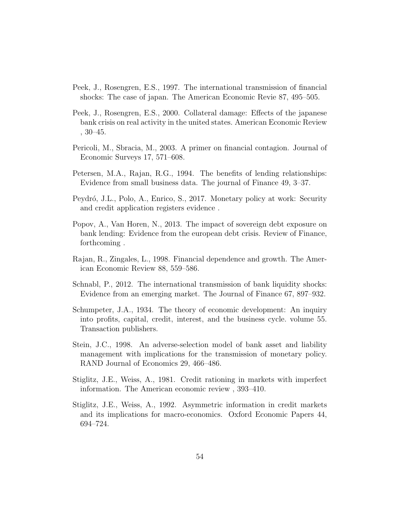- Peek, J., Rosengren, E.S., 1997. The international transmission of financial shocks: The case of japan. The American Economic Revie 87, 495–505.
- Peek, J., Rosengren, E.S., 2000. Collateral damage: Effects of the japanese bank crisis on real activity in the united states. American Economic Review , 30–45.
- Pericoli, M., Sbracia, M., 2003. A primer on financial contagion. Journal of Economic Surveys 17, 571–608.
- Petersen, M.A., Rajan, R.G., 1994. The benefits of lending relationships: Evidence from small business data. The journal of Finance 49, 3–37.
- Peydró, J.L., Polo, A., Enrico, S., 2017. Monetary policy at work: Security and credit application registers evidence .
- Popov, A., Van Horen, N., 2013. The impact of sovereign debt exposure on bank lending: Evidence from the european debt crisis. Review of Finance, forthcoming .
- Rajan, R., Zingales, L., 1998. Financial dependence and growth. The American Economic Review 88, 559–586.
- Schnabl, P., 2012. The international transmission of bank liquidity shocks: Evidence from an emerging market. The Journal of Finance 67, 897–932.
- Schumpeter, J.A., 1934. The theory of economic development: An inquiry into profits, capital, credit, interest, and the business cycle. volume 55. Transaction publishers.
- Stein, J.C., 1998. An adverse-selection model of bank asset and liability management with implications for the transmission of monetary policy. RAND Journal of Economics 29, 466–486.
- Stiglitz, J.E., Weiss, A., 1981. Credit rationing in markets with imperfect information. The American economic review , 393–410.
- Stiglitz, J.E., Weiss, A., 1992. Asymmetric information in credit markets and its implications for macro-economics. Oxford Economic Papers 44, 694–724.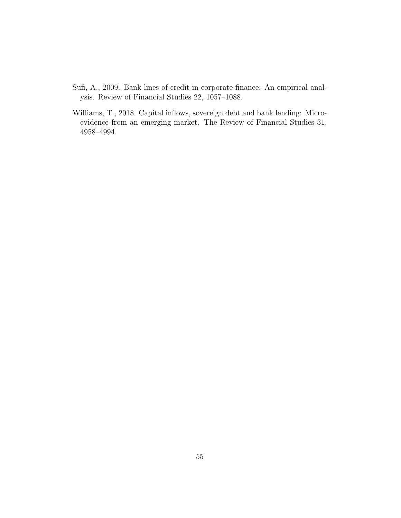- Sufi, A., 2009. Bank lines of credit in corporate finance: An empirical analysis. Review of Financial Studies 22, 1057–1088.
- Williams, T., 2018. Capital inflows, sovereign debt and bank lending: Microevidence from an emerging market. The Review of Financial Studies 31, 4958–4994.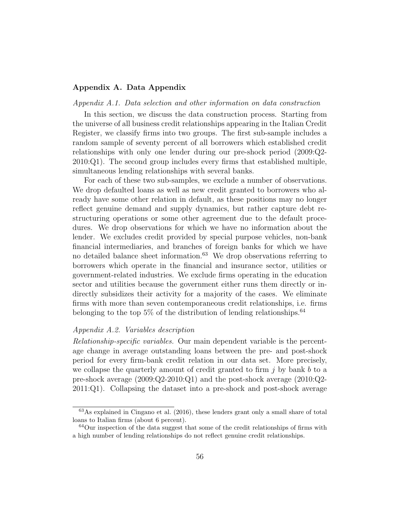## Appendix A. Data Appendix

#### Appendix A.1. Data selection and other information on data construction

In this section, we discuss the data construction process. Starting from the universe of all business credit relationships appearing in the Italian Credit Register, we classify firms into two groups. The first sub-sample includes a random sample of seventy percent of all borrowers which established credit relationships with only one lender during our pre-shock period (2009:Q2- 2010:Q1). The second group includes every firms that established multiple, simultaneous lending relationships with several banks.

For each of these two sub-samples, we exclude a number of observations. We drop defaulted loans as well as new credit granted to borrowers who already have some other relation in default, as these positions may no longer reflect genuine demand and supply dynamics, but rather capture debt restructuring operations or some other agreement due to the default procedures. We drop observations for which we have no information about the lender. We excludes credit provided by special purpose vehicles, non-bank financial intermediaries, and branches of foreign banks for which we have no detailed balance sheet information.<sup>63</sup> We drop observations referring to borrowers which operate in the financial and insurance sector, utilities or government-related industries. We exclude firms operating in the education sector and utilities because the government either runs them directly or indirectly subsidizes their activity for a majority of the cases. We eliminate firms with more than seven contemporaneous credit relationships, i.e. firms belonging to the top  $5\%$  of the distribution of lending relationships.<sup>64</sup>

### Appendix A.2. Variables description

Relationship-specific variables. Our main dependent variable is the percentage change in average outstanding loans between the pre- and post-shock period for every firm-bank credit relation in our data set. More precisely, we collapse the quarterly amount of credit granted to firm  $j$  by bank  $b$  to a pre-shock average (2009:Q2-2010:Q1) and the post-shock average (2010:Q2- 2011:Q1). Collapsing the dataset into a pre-shock and post-shock average

 $63\text{As explained in Cingano et al.}$  (2016), these lenders grant only a small share of total loans to Italian firms (about 6 percent).

 $64$ Our inspection of the data suggest that some of the credit relationships of firms with a high number of lending relationships do not reflect genuine credit relationships.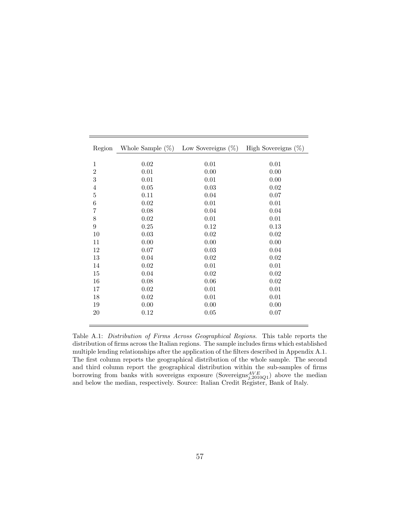| Region         | Whole Sample $(\%)$ | Low Sovereigns $(\%)$ | High Sovereigns $(\%)$ |
|----------------|---------------------|-----------------------|------------------------|
|                |                     |                       |                        |
| $\mathbf{1}$   | 0.02                | 0.01                  | 0.01                   |
| $\overline{2}$ | 0.01                | 0.00                  | 0.00                   |
| 3              | 0.01                | 0.01                  | 0.00                   |
| $\overline{4}$ | 0.05                | 0.03                  | 0.02                   |
| $\overline{5}$ | 0.11                | 0.04                  | 0.07                   |
| $\,$ 6 $\,$    | 0.02                | 0.01                  | 0.01                   |
| $\overline{7}$ | 0.08                | 0.04                  | 0.04                   |
| 8              | 0.02                | 0.01                  | 0.01                   |
| $\overline{9}$ | 0.25                | 0.12                  | 0.13                   |
| 10             | 0.03                | 0.02                  | 0.02                   |
| 11             | 0.00                | 0.00                  | 0.00                   |
| 12             | 0.07                | 0.03                  | 0.04                   |
| 13             | 0.04                | 0.02                  | 0.02                   |
| 14             | 0.02                | 0.01                  | 0.01                   |
| 15             | 0.04                | 0.02                  | 0.02                   |
| 16             | 0.08                | 0.06                  | $0.02\,$               |
| 17             | 0.02                | 0.01                  | 0.01                   |
| 18             | 0.02                | 0.01                  | 0.01                   |
| 19             | 0.00                | 0.00                  | 0.00                   |
| 20             | 0.12                | 0.05                  | 0.07                   |
|                |                     |                       |                        |

Table A.1: Distribution of Firms Across Geographical Regions. This table reports the distribution of firms across the Italian regions. The sample includes firms which established multiple lending relationships after the application of the filters described in Appendix A.1. The first column reports the geographical distribution of the whole sample. The second and third column report the geographical distribution within the sub-samples of firms borrowing from banks with sovereigns exposure (Sovereigns ${}_{j,2010Q1}^{AVE}$ ) above the median and below the median, respectively. Source: Italian Credit Register, Bank of Italy.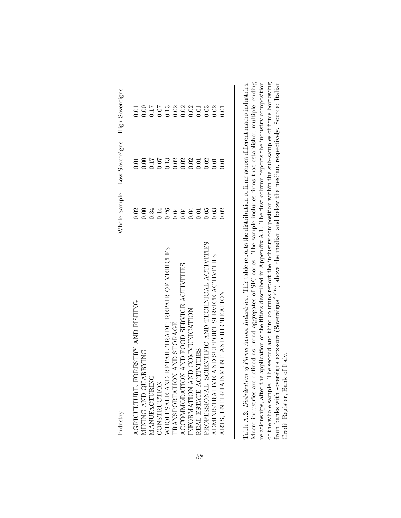| Industry                                                |      | Whole Sample Low Sovereigns High Sovereigns |                                                      |
|---------------------------------------------------------|------|---------------------------------------------|------------------------------------------------------|
| AGRICULTURE, FORESTRY AND FISHING                       |      |                                             |                                                      |
| MINING AND QUARRYING                                    |      |                                             | 5 8 5 5 7 8 8 8 5 5 6 6<br>5 6 5 6 7 8 9 8 5 6 6 9 6 |
| MANUFACTURING                                           |      |                                             |                                                      |
| CONSTRUCTION                                            |      |                                             |                                                      |
| RETAIL TRADE; REPAIR OF VEHICLES<br>WHOLESALE AND       |      |                                             |                                                      |
| TRANSPORTATION AND STORAGE                              |      |                                             |                                                      |
| ACCOMMODATION AND FOOD SERVICE ACTIVITIES               |      |                                             |                                                      |
| INFORMATION AND COMMUNICATION                           |      |                                             |                                                      |
| REAL ESTATE ACTIVITES                                   |      |                                             |                                                      |
| PROFESSIONAL, SCIENTIFIC AND TECHNICAL ACTIVITIES       |      |                                             |                                                      |
| AND SUPPORT SERVICE ACTIVITIES<br><b>ADMINISTRATIVE</b> |      |                                             |                                                      |
| MENT AND RECREATION<br>ARTS, ENTERTAIN                  | 0.02 |                                             |                                                      |
|                                                         |      |                                             |                                                      |

 $\overline{\mathbf{I}}$ 

| Table A.2: Distribution of Firms Across Industries. This table reports the distribution of firms across different macro industries.                |
|----------------------------------------------------------------------------------------------------------------------------------------------------|
| Macro industries are defined as broad aggregates of SIC codes. The sample includes firms that established multiple lending                         |
| application of the filters described in Appendix A.1. The first column reports the industry composition<br>relationships, after the                |
| of the whole sample. The second and third columns report the industry composition within the sub-samples of firms borrowing                        |
| from banks with sovereigns exposure (Sovereigns <sup><math>AVE</math></sup> ) above the median and below the median, respectively. Source: Italian |
| Credit Register, Bank of Italy.                                                                                                                    |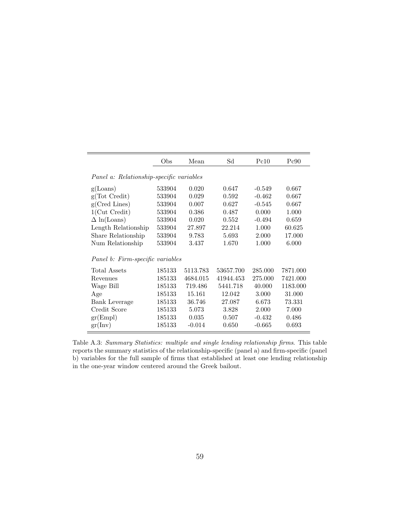|                                  | Obs                                      | Mean     | Sd        | Pc10     | Pc90     |  |  |  |  |  |
|----------------------------------|------------------------------------------|----------|-----------|----------|----------|--|--|--|--|--|
|                                  | Panel a: Relationship-specific variables |          |           |          |          |  |  |  |  |  |
| g(Loans)                         | 533904                                   | 0.020    | 0.647     | $-0.549$ | 0.667    |  |  |  |  |  |
| g(Tot Credit)                    | 533904                                   | 0.029    | 0.592     | $-0.462$ | 0.667    |  |  |  |  |  |
| g(Cred Lines)                    | 533904                                   | 0.007    | 0.627     | $-0.545$ | 0.667    |  |  |  |  |  |
| $1$ (Cut Credit)                 | 533904                                   | 0.386    | 0.487     | 0.000    | 1.000    |  |  |  |  |  |
| $\Delta$ ln(Loans)               | 533904                                   | 0.020    | 0.552     | $-0.494$ | 0.659    |  |  |  |  |  |
| Length Relationship              | 533904                                   | 27.897   | 22.214    | 1.000    | 60.625   |  |  |  |  |  |
| Share Relationship               | 533904                                   | 9.783    | 5.693     | 2.000    | 17.000   |  |  |  |  |  |
| Num Relationship                 | 533904                                   | 3.437    | 1.670     | 1.000    | 6.000    |  |  |  |  |  |
| Panel b: Firm-specific variables |                                          |          |           |          |          |  |  |  |  |  |
| Total Assets                     | 185133                                   | 5113.783 | 53657.700 | 285.000  | 7871.000 |  |  |  |  |  |
| Revenues                         | 185133                                   | 4684.015 | 41944.453 | 275.000  | 7421.000 |  |  |  |  |  |
| Wage Bill                        | 185133                                   | 719.486  | 5441.718  | 40.000   | 1183.000 |  |  |  |  |  |
| Age                              | 185133                                   | 15.161   | 12.042    | 3.000    | 31.000   |  |  |  |  |  |
| <b>Bank Leverage</b>             | 185133                                   | 36.746   | 27.087    | 6.673    | 73.331   |  |  |  |  |  |
| Credit Score                     | 185133                                   | 5.073    | 3.828     | 2.000    | 7.000    |  |  |  |  |  |
| gr(Empl)                         | 185133                                   | 0.035    | 0.507     | $-0.432$ | 0.486    |  |  |  |  |  |
| gr(Inv)                          | 185133                                   | $-0.014$ | 0.650     | $-0.665$ | 0.693    |  |  |  |  |  |

Table A.3: Summary Statistics: multiple and single lending relationship firms. This table reports the summary statistics of the relationship-specific (panel a) and firm-specific (panel b) variables for the full sample of firms that established at least one lending relationship in the one-year window centered around the Greek bailout.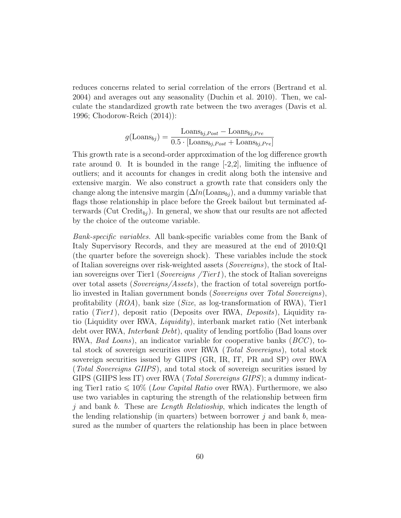reduces concerns related to serial correlation of the errors (Bertrand et al. 2004) and averages out any seasonality (Duchin et al. 2010). Then, we calculate the standardized growth rate between the two averages (Davis et al. 1996; Chodorow-Reich (2014)):

$$
g(\text{Loans}_{bj}) = \frac{\text{Loans}_{bj, Post} - \text{Loans}_{bj, Pre}}{0.5 \cdot [\text{Loans}_{bj, Post} + \text{Loans}_{bj, Pre}]}
$$

This growth rate is a second-order approximation of the log difference growth rate around 0. It is bounded in the range  $[-2,2]$ , limiting the influence of outliers; and it accounts for changes in credit along both the intensive and extensive margin. We also construct a growth rate that considers only the change along the intensive margin  $(\Delta ln(\text{Loans}_{bj}))$ , and a dummy variable that flags those relationship in place before the Greek bailout but terminated afterwards (Cut Credit<sub>bj</sub>). In general, we show that our results are not affected by the choice of the outcome variable.

Bank-specific variables. All bank-specific variables come from the Bank of Italy Supervisory Records, and they are measured at the end of 2010:Q1 (the quarter before the sovereign shock). These variables include the stock of Italian sovereigns over risk-weighted assets (Sovereigns), the stock of Italian sovereigns over Tier1 (Sovereigns /Tier1 ), the stock of Italian sovereigns over total assets (Sovereigns/Assets), the fraction of total sovereign portfolio invested in Italian government bonds (Sovereigns over Total Sovereigns), profitability  $(ROA)$ , bank size (Size, as log-transformation of RWA), Tier1 ratio (*Tier1*), deposit ratio (Deposits over RWA, *Deposits*), Liquidity ratio (Liquidity over RWA, Liquidity), interbank market ratio (Net interbank debt over RWA, Interbank Debt), quality of lending portfolio (Bad loans over RWA, *Bad Loans*), an indicator variable for cooperative banks  $(BCC)$ , total stock of sovereign securities over RWA (Total Sovereigns), total stock sovereign securities issued by GIIPS (GR, IR, IT, PR and SP) over RWA (Total Sovereigns GIIPS), and total stock of sovereign securities issued by GIPS (GIIPS less IT) over RWA (Total Sovereigns GIPS); a dummy indicating Tier1 ratio  $\leq 10\%$  (*Low Capital Ratio* over RWA). Furthermore, we also use two variables in capturing the strength of the relationship between firm j and bank b. These are Length Relatioship, which indicates the length of the lending relationship (in quarters) between borrower  $j$  and bank  $b$ , measured as the number of quarters the relationship has been in place between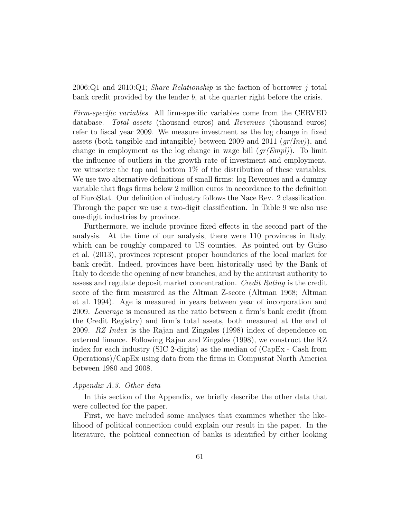2006:Q1 and 2010:Q1; Share Relationship is the faction of borrower j total bank credit provided by the lender b, at the quarter right before the crisis.

Firm-specific variables. All firm-specific variables come from the CERVED database. Total assets (thousand euros) and Revenues (thousand euros) refer to fiscal year 2009. We measure investment as the log change in fixed assets (both tangible and intangible) between 2009 and 2011  $(qr(Inv))$ , and change in employment as the log change in wage bill  $(gr(Empl))$ . To limit the influence of outliers in the growth rate of investment and employment, we winsorize the top and bottom  $1\%$  of the distribution of these variables. We use two alternative definitions of small firms: log Revenues and a dummy variable that flags firms below 2 million euros in accordance to the definition of EuroStat. Our definition of industry follows the Nace Rev. 2 classification. Through the paper we use a two-digit classification. In Table 9 we also use one-digit industries by province.

Furthermore, we include province fixed effects in the second part of the analysis. At the time of our analysis, there were 110 provinces in Italy, which can be roughly compared to US counties. As pointed out by Guiso et al. (2013), provinces represent proper boundaries of the local market for bank credit. Indeed, provinces have been historically used by the Bank of Italy to decide the opening of new branches, and by the antitrust authority to assess and regulate deposit market concentration. Credit Rating is the credit score of the firm measured as the Altman Z-score (Altman 1968; Altman et al. 1994). Age is measured in years between year of incorporation and 2009. Leverage is measured as the ratio between a firm's bank credit (from the Credit Registry) and firm's total assets, both measured at the end of 2009. RZ Index is the Rajan and Zingales (1998) index of dependence on external finance. Following Rajan and Zingales (1998), we construct the RZ index for each industry (SIC 2-digits) as the median of (CapEx - Cash from Operations)/CapEx using data from the firms in Compustat North America between 1980 and 2008.

## Appendix A.3. Other data

In this section of the Appendix, we briefly describe the other data that were collected for the paper.

First, we have included some analyses that examines whether the likelihood of political connection could explain our result in the paper. In the literature, the political connection of banks is identified by either looking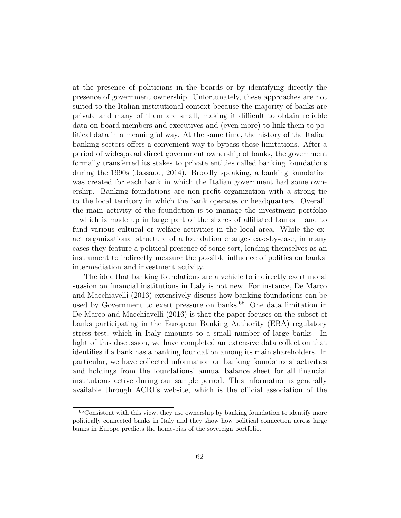at the presence of politicians in the boards or by identifying directly the presence of government ownership. Unfortunately, these approaches are not suited to the Italian institutional context because the majority of banks are private and many of them are small, making it difficult to obtain reliable data on board members and executives and (even more) to link them to political data in a meaningful way. At the same time, the history of the Italian banking sectors offers a convenient way to bypass these limitations. After a period of widespread direct government ownership of banks, the government formally transferred its stakes to private entities called banking foundations during the 1990s (Jassaud, 2014). Broadly speaking, a banking foundation was created for each bank in which the Italian government had some ownership. Banking foundations are non-profit organization with a strong tie to the local territory in which the bank operates or headquarters. Overall, the main activity of the foundation is to manage the investment portfolio – which is made up in large part of the shares of affiliated banks – and to fund various cultural or welfare activities in the local area. While the exact organizational structure of a foundation changes case-by-case, in many cases they feature a political presence of some sort, lending themselves as an instrument to indirectly measure the possible influence of politics on banks' intermediation and investment activity.

The idea that banking foundations are a vehicle to indirectly exert moral suasion on financial institutions in Italy is not new. For instance, De Marco and Macchiavelli (2016) extensively discuss how banking foundations can be used by Government to exert pressure on banks.<sup>65</sup> One data limitation in De Marco and Macchiavelli (2016) is that the paper focuses on the subset of banks participating in the European Banking Authority (EBA) regulatory stress test, which in Italy amounts to a small number of large banks. In light of this discussion, we have completed an extensive data collection that identifies if a bank has a banking foundation among its main shareholders. In particular, we have collected information on banking foundations' activities and holdings from the foundations' annual balance sheet for all financial institutions active during our sample period. This information is generally available through ACRI's website, which is the official association of the

<sup>65</sup>Consistent with this view, they use ownership by banking foundation to identify more politically connected banks in Italy and they show how political connection across large banks in Europe predicts the home-bias of the sovereign portfolio.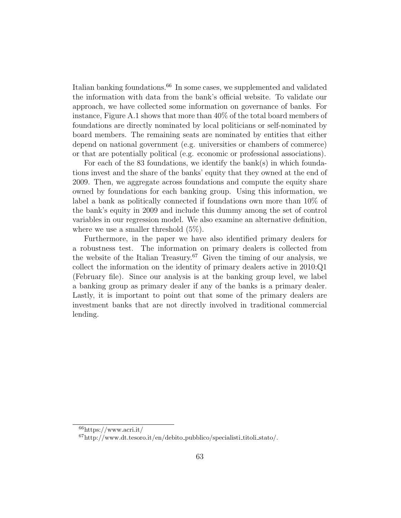Italian banking foundations.<sup>66</sup> In some cases, we supplemented and validated the information with data from the bank's official website. To validate our approach, we have collected some information on governance of banks. For instance, Figure A.1 shows that more than 40% of the total board members of foundations are directly nominated by local politicians or self-nominated by board members. The remaining seats are nominated by entities that either depend on national government (e.g. universities or chambers of commerce) or that are potentially political (e.g. economic or professional associations).

For each of the 83 foundations, we identify the bank(s) in which foundations invest and the share of the banks' equity that they owned at the end of 2009. Then, we aggregate across foundations and compute the equity share owned by foundations for each banking group. Using this information, we label a bank as politically connected if foundations own more than 10% of the bank's equity in 2009 and include this dummy among the set of control variables in our regression model. We also examine an alternative definition, where we use a smaller threshold (5%).

Furthermore, in the paper we have also identified primary dealers for a robustness test. The information on primary dealers is collected from the website of the Italian Treasury.<sup>67</sup> Given the timing of our analysis, we collect the information on the identity of primary dealers active in 2010:Q1 (February file). Since our analysis is at the banking group level, we label a banking group as primary dealer if any of the banks is a primary dealer. Lastly, it is important to point out that some of the primary dealers are investment banks that are not directly involved in traditional commercial lending.

 $66$ https://www.acri.it/

 $^{67}$ http://www.dt.tesoro.it/en/debito\_pubblico/specialisti\_titoli\_stato/.